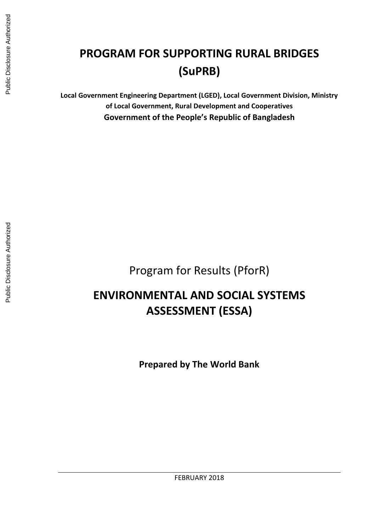# **PROGRAM FOR SUPPORTING RURAL BRIDGES (SuPRB)**

**Local Government Engineering Department (LGED), Local Government Division, Ministry of Local Government, Rural Development and Cooperatives Government of the People's Republic of Bangladesh**

Program for Results (PforR)

# **ENVIRONMENTAL AND SOCIAL SYSTEMS ASSESSMENT (ESSA)**

**Prepared by The World Bank**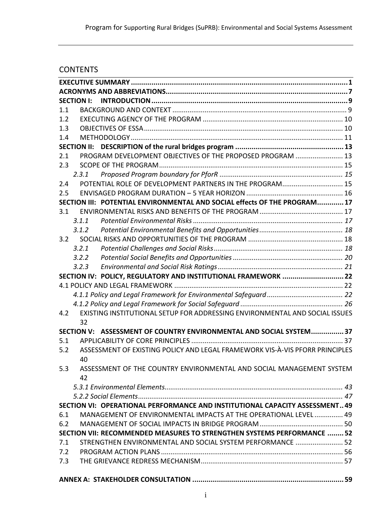# **CONTENTS**

|               | <b>SECTION I:</b>  |                                                                              |  |
|---------------|--------------------|------------------------------------------------------------------------------|--|
| 1.1           |                    |                                                                              |  |
| 1.2           |                    |                                                                              |  |
| 1.3           |                    |                                                                              |  |
| 1.4           |                    |                                                                              |  |
|               | <b>SECTION II:</b> |                                                                              |  |
| 2.1           |                    | PROGRAM DEVELOPMENT OBJECTIVES OF THE PROPOSED PROGRAM  13                   |  |
| 2.3           |                    |                                                                              |  |
|               | 2.3.1              |                                                                              |  |
| 2.4           |                    | POTENTIAL ROLE OF DEVELOPMENT PARTNERS IN THE PROGRAM 15                     |  |
| 2.5           |                    |                                                                              |  |
|               |                    | SECTION III: POTENTIAL ENVIRONMENTAL AND SOCIAL effects OF THE PROGRAM 17    |  |
| 3.1           |                    |                                                                              |  |
|               | 3.1.1              |                                                                              |  |
|               | 3.1.2              |                                                                              |  |
| $3.2^{\circ}$ |                    |                                                                              |  |
|               | 3.2.1              |                                                                              |  |
|               | 3.2.2              |                                                                              |  |
|               | 3.2.3              |                                                                              |  |
|               |                    | SECTION IV: POLICY, REGULATORY AND INSTITUTIONAL FRAMEWORK  22               |  |
|               |                    |                                                                              |  |
|               |                    |                                                                              |  |
|               |                    |                                                                              |  |
| 4.2           |                    | EXISTING INSTITUTIONAL SETUP FOR ADDRESSING ENVIRONMENTAL AND SOCIAL ISSUES  |  |
|               | 32                 |                                                                              |  |
|               | <b>SECTION V:</b>  | ASSESSMENT OF COUNTRY ENVIRONMENTAL AND SOCIAL SYSTEM 37                     |  |
| 5.1           |                    |                                                                              |  |
| 5.2           |                    | ASSESSMENT OF EXISTING POLICY AND LEGAL FRAMEWORK VIS-À-VIS PFORR PRINCIPLES |  |
|               | 40                 |                                                                              |  |
| 5.3           |                    | ASSESSMENT OF THE COUNTRY ENVIRONMENTAL AND SOCIAL MANAGEMENT SYSTEM         |  |
|               | 42                 |                                                                              |  |
|               |                    |                                                                              |  |
|               |                    |                                                                              |  |
|               |                    | SECTION VI: OPERATIONAL PERFORMANCE AND INSTITUTIONAL CAPACITY ASSESSMENT 49 |  |
| 6.1           |                    | MANAGEMENT OF ENVIRONMENTAL IMPACTS AT THE OPERATIONAL LEVEL  49             |  |
| 6.2           |                    |                                                                              |  |
|               |                    | SECTION VII: RECOMMENDED MEASURES TO STRENGTHEN SYSTEMS PERFORMANCE  52      |  |
| 7.1           |                    | STRENGTHEN ENVIRONMENTAL AND SOCIAL SYSTEM PERFORMANCE  52                   |  |
| 7.2           |                    |                                                                              |  |
| 7.3           |                    |                                                                              |  |
|               |                    |                                                                              |  |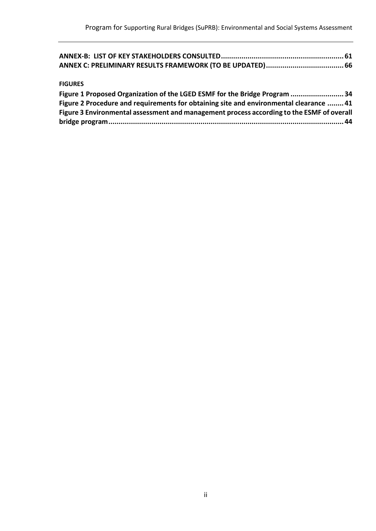| ANNEX-B:  LIST OF KEY STAKEHOLDERS CONSULTED………………………………………………………………61 |  |
|------------------------------------------------------------------------|--|
|                                                                        |  |

## **FIGURES**

| Figure 1 Proposed Organization of the LGED ESMF for the Bridge Program 34                 |  |
|-------------------------------------------------------------------------------------------|--|
| Figure 2 Procedure and requirements for obtaining site and environmental clearance  41    |  |
| Figure 3 Environmental assessment and management process according to the ESMF of overall |  |
|                                                                                           |  |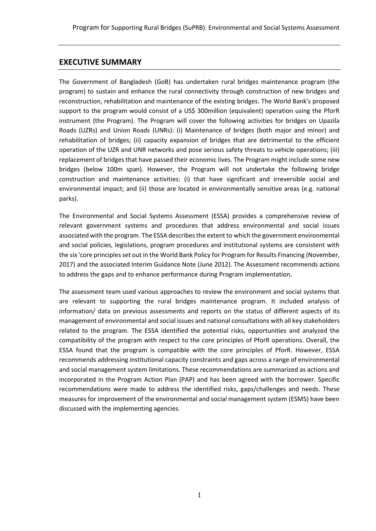# <span id="page-3-0"></span>**EXECUTIVE SUMMARY**

The Government of Bangladesh (GoB) has undertaken rural bridges maintenance program (the program) to sustain and enhance the rural connectivity through construction of new bridges and reconstruction, rehabilitation and maintenance of the existing bridges. The World Bank's proposed support to the program would consist of a US\$ 300million (equivalent) operation using the PforR instrument (the Program). The Program will cover the following activities for bridges on Upazila Roads (UZRs) and Union Roads (UNRs): (i) Maintenance of bridges (both major and minor) and rehabilitation of bridges; (ii) capacity expansion of bridges that are detrimental to the efficient operation of the UZR and UNR networks and pose serious safety threats to vehicle operations; (iii) replacement of bridges that have passed their economic lives. The Program might include some new bridges (below 100m span). However, the Program will not undertake the following bridge construction and maintenance activities: (i) that have significant and irreversible social and environmental impact; and (ii) those are located in environmentally sensitive areas (e.g. national parks).

The Environmental and Social Systems Assessment (ESSA) provides a comprehensive review of relevant government systems and procedures that address environmental and social issues associated with the program. The ESSA describes the extent to which the government environmental and social policies, legislations, program procedures and institutional systems are consistent with the six 'core principles set out in the World Bank Policy for Program for Results Financing (November, 2017) and the associated Interim Guidance Note (June 2012). The Assessment recommends actions to address the gaps and to enhance performance during Program implementation.

The assessment team used various approaches to review the environment and social systems that are relevant to supporting the rural bridges maintenance program. It included analysis of information/ data on previous assessments and reports on the status of different aspects of its management of environmental and social issues and national consultations with all key stakeholders related to the program. The ESSA identified the potential risks, opportunities and analyzed the compatibility of the program with respect to the core principles of PforR operations. Overall, the ESSA found that the program is compatible with the core principles of PforR. However, ESSA recommends addressing institutional capacity constraints and gaps across a range of environmental and social management system limitations. These recommendations are summarized as actions and incorporated in the Program Action Plan (PAP) and has been agreed with the borrower. Specific recommendations were made to address the identified risks, gaps/challenges and needs. These measures for improvement of the environmental and social management system (ESMS) have been discussed with the implementing agencies.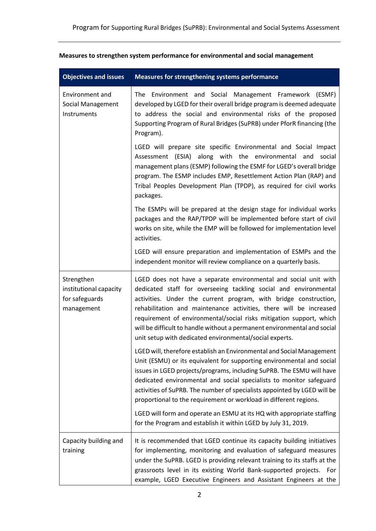| <b>Objectives and issues</b>                                         | Measures for strengthening systems performance                                                                                                                                                                                                                                                                                                                                                                                                                                               |
|----------------------------------------------------------------------|----------------------------------------------------------------------------------------------------------------------------------------------------------------------------------------------------------------------------------------------------------------------------------------------------------------------------------------------------------------------------------------------------------------------------------------------------------------------------------------------|
| Environment and<br><b>Social Management</b><br>Instruments           | The Environment and Social Management Framework (ESMF)<br>developed by LGED for their overall bridge program is deemed adequate<br>to address the social and environmental risks of the proposed<br>Supporting Program of Rural Bridges (SuPRB) under PforR financing (the<br>Program).                                                                                                                                                                                                      |
|                                                                      | LGED will prepare site specific Environmental and Social Impact<br>Assessment (ESIA) along with the environmental and<br>social<br>management plans (ESMP) following the ESMF for LGED's overall bridge<br>program. The ESMP includes EMP, Resettlement Action Plan (RAP) and<br>Tribal Peoples Development Plan (TPDP), as required for civil works<br>packages.                                                                                                                            |
|                                                                      | The ESMPs will be prepared at the design stage for individual works<br>packages and the RAP/TPDP will be implemented before start of civil<br>works on site, while the EMP will be followed for implementation level<br>activities.                                                                                                                                                                                                                                                          |
|                                                                      | LGED will ensure preparation and implementation of ESMPs and the<br>independent monitor will review compliance on a quarterly basis.                                                                                                                                                                                                                                                                                                                                                         |
| Strengthen<br>institutional capacity<br>for safeguards<br>management | LGED does not have a separate environmental and social unit with<br>dedicated staff for overseeing tackling social and environmental<br>activities. Under the current program, with bridge construction,<br>rehabilitation and maintenance activities, there will be increased<br>requirement of environmental/social risks mitigation support, which<br>will be difficult to handle without a permanent environmental and social<br>unit setup with dedicated environmental/social experts. |
|                                                                      | LGED will, therefore establish an Environmental and Social Management<br>Unit (ESMU) or its equivalent for supporting environmental and social<br>issues in LGED projects/programs, including SuPRB. The ESMU will have<br>dedicated environmental and social specialists to monitor safeguard<br>activities of SuPRB. The number of specialists appointed by LGED will be<br>proportional to the requirement or workload in different regions.                                              |
|                                                                      | LGED will form and operate an ESMU at its HQ with appropriate staffing<br>for the Program and establish it within LGED by July 31, 2019.                                                                                                                                                                                                                                                                                                                                                     |
| Capacity building and<br>training                                    | It is recommended that LGED continue its capacity building initiatives<br>for implementing, monitoring and evaluation of safeguard measures<br>under the SuPRB. LGED is providing relevant training to its staffs at the<br>grassroots level in its existing World Bank-supported projects. For<br>example, LGED Executive Engineers and Assistant Engineers at the                                                                                                                          |

# **Measures to strengthen system performance for environmental and social management**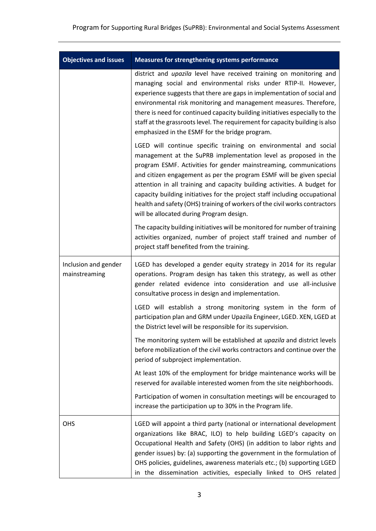| <b>Objectives and issues</b>          | Measures for strengthening systems performance                                                                                                                                                                                                                                                                                                                                                                                                                                                                                                                       |
|---------------------------------------|----------------------------------------------------------------------------------------------------------------------------------------------------------------------------------------------------------------------------------------------------------------------------------------------------------------------------------------------------------------------------------------------------------------------------------------------------------------------------------------------------------------------------------------------------------------------|
|                                       | district and upazila level have received training on monitoring and<br>managing social and environmental risks under RTIP-II. However,<br>experience suggests that there are gaps in implementation of social and<br>environmental risk monitoring and management measures. Therefore,<br>there is need for continued capacity building initiatives especially to the<br>staff at the grassroots level. The requirement for capacity building is also<br>emphasized in the ESMF for the bridge program.                                                              |
|                                       | LGED will continue specific training on environmental and social<br>management at the SuPRB implementation level as proposed in the<br>program ESMF. Activities for gender mainstreaming, communications<br>and citizen engagement as per the program ESMF will be given special<br>attention in all training and capacity building activities. A budget for<br>capacity building initiatives for the project staff including occupational<br>health and safety (OHS) training of workers of the civil works contractors<br>will be allocated during Program design. |
|                                       | The capacity building initiatives will be monitored for number of training<br>activities organized, number of project staff trained and number of<br>project staff benefited from the training.                                                                                                                                                                                                                                                                                                                                                                      |
| Inclusion and gender<br>mainstreaming | LGED has developed a gender equity strategy in 2014 for its regular<br>operations. Program design has taken this strategy, as well as other<br>gender related evidence into consideration and use all-inclusive<br>consultative process in design and implementation.                                                                                                                                                                                                                                                                                                |
|                                       | LGED will establish a strong monitoring system in the form of<br>participation plan and GRM under Upazila Engineer, LGED. XEN, LGED at<br>the District level will be responsible for its supervision.                                                                                                                                                                                                                                                                                                                                                                |
|                                       | The monitoring system will be established at <i>upazila</i> and district levels<br>before mobilization of the civil works contractors and continue over the<br>period of subproject implementation.                                                                                                                                                                                                                                                                                                                                                                  |
|                                       | At least 10% of the employment for bridge maintenance works will be<br>reserved for available interested women from the site neighborhoods.                                                                                                                                                                                                                                                                                                                                                                                                                          |
|                                       | Participation of women in consultation meetings will be encouraged to<br>increase the participation up to 30% in the Program life.                                                                                                                                                                                                                                                                                                                                                                                                                                   |
| <b>OHS</b>                            | LGED will appoint a third party (national or international development<br>organizations like BRAC, ILO) to help building LGED's capacity on<br>Occupational Health and Safety (OHS) (in addition to labor rights and<br>gender issues) by: (a) supporting the government in the formulation of<br>OHS policies, guidelines, awareness materials etc.; (b) supporting LGED<br>in the dissemination activities, especially linked to OHS related                                                                                                                       |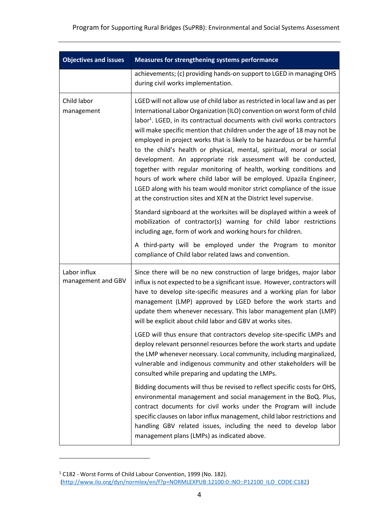| <b>Objectives and issues</b>       | Measures for strengthening systems performance                                                                                                                                                                                                                                                                                                                                                                                                                                                                                                                                                                                                                                                                                                                                                                                                                                                                                                                                                                                                                                                                                                                                       |  |  |  |
|------------------------------------|--------------------------------------------------------------------------------------------------------------------------------------------------------------------------------------------------------------------------------------------------------------------------------------------------------------------------------------------------------------------------------------------------------------------------------------------------------------------------------------------------------------------------------------------------------------------------------------------------------------------------------------------------------------------------------------------------------------------------------------------------------------------------------------------------------------------------------------------------------------------------------------------------------------------------------------------------------------------------------------------------------------------------------------------------------------------------------------------------------------------------------------------------------------------------------------|--|--|--|
|                                    | achievements; (c) providing hands-on support to LGED in managing OHS<br>during civil works implementation.                                                                                                                                                                                                                                                                                                                                                                                                                                                                                                                                                                                                                                                                                                                                                                                                                                                                                                                                                                                                                                                                           |  |  |  |
| Child labor<br>management          | LGED will not allow use of child labor as restricted in local law and as per<br>International Labor Organization (ILO) convention on worst form of child<br>labor <sup>1</sup> . LGED, in its contractual documents with civil works contractors<br>will make specific mention that children under the age of 18 may not be<br>employed in project works that is likely to be hazardous or be harmful<br>to the child's health or physical, mental, spiritual, moral or social<br>development. An appropriate risk assessment will be conducted,<br>together with regular monitoring of health, working conditions and<br>hours of work where child labor will be employed. Upazila Engineer,<br>LGED along with his team would monitor strict compliance of the issue<br>at the construction sites and XEN at the District level supervise.<br>Standard signboard at the worksites will be displayed within a week of<br>mobilization of contractor(s) warning for child labor restrictions<br>including age, form of work and working hours for children.<br>A third-party will be employed under the Program to monitor<br>compliance of Child labor related laws and convention. |  |  |  |
| Labor influx<br>management and GBV | Since there will be no new construction of large bridges, major labor<br>influx is not expected to be a significant issue. However, contractors will<br>have to develop site-specific measures and a working plan for labor<br>management (LMP) approved by LGED before the work starts and<br>update them whenever necessary. This labor management plan (LMP)<br>will be explicit about child labor and GBV at works sites.<br>LGED will thus ensure that contractors develop site-specific LMPs and<br>deploy relevant personnel resources before the work starts and update<br>the LMP whenever necessary. Local community, including marginalized,<br>vulnerable and indigenous community and other stakeholders will be<br>consulted while preparing and updating the LMPs.                                                                                                                                                                                                                                                                                                                                                                                                    |  |  |  |
|                                    | Bidding documents will thus be revised to reflect specific costs for OHS,<br>environmental management and social management in the BoQ. Plus,<br>contract documents for civil works under the Program will include<br>specific clauses on labor influx management, child labor restrictions and<br>handling GBV related issues, including the need to develop labor<br>management plans (LMPs) as indicated above.                                                                                                                                                                                                                                                                                                                                                                                                                                                                                                                                                                                                                                                                                                                                                                   |  |  |  |

<sup>1</sup> C182 - Worst Forms of Child Labour Convention, 1999 (No. 182). [\(http://www.ilo.org/dyn/normlex/en/f?p=NORMLEXPUB:12100:0::NO::P12100\\_ILO\\_CODE:C182\)](http://www.ilo.org/dyn/normlex/en/f?p=NORMLEXPUB:12100:0::NO::P12100_ILO_CODE:C182)

 $\overline{a}$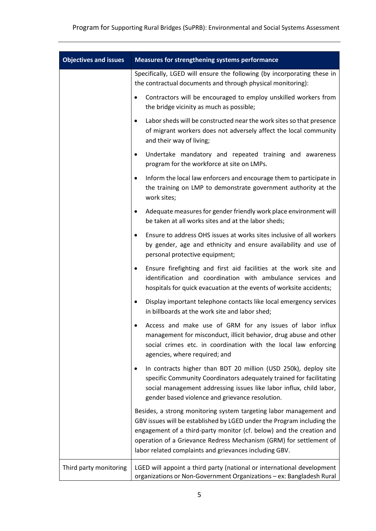| <b>Objectives and issues</b> | Measures for strengthening systems performance                                                                                                                                                                                                                                                                                                       |  |  |  |  |
|------------------------------|------------------------------------------------------------------------------------------------------------------------------------------------------------------------------------------------------------------------------------------------------------------------------------------------------------------------------------------------------|--|--|--|--|
|                              | Specifically, LGED will ensure the following (by incorporating these in<br>the contractual documents and through physical monitoring):                                                                                                                                                                                                               |  |  |  |  |
|                              | Contractors will be encouraged to employ unskilled workers from<br>٠<br>the bridge vicinity as much as possible;                                                                                                                                                                                                                                     |  |  |  |  |
|                              | Labor sheds will be constructed near the work sites so that presence<br>$\bullet$<br>of migrant workers does not adversely affect the local community<br>and their way of living;                                                                                                                                                                    |  |  |  |  |
|                              | Undertake mandatory and repeated training and awareness<br>program for the workforce at site on LMPs.                                                                                                                                                                                                                                                |  |  |  |  |
|                              | Inform the local law enforcers and encourage them to participate in<br>$\bullet$<br>the training on LMP to demonstrate government authority at the<br>work sites;                                                                                                                                                                                    |  |  |  |  |
|                              | Adequate measures for gender friendly work place environment will<br>٠<br>be taken at all works sites and at the labor sheds;                                                                                                                                                                                                                        |  |  |  |  |
|                              | Ensure to address OHS issues at works sites inclusive of all workers<br>$\bullet$<br>by gender, age and ethnicity and ensure availability and use of<br>personal protective equipment;                                                                                                                                                               |  |  |  |  |
|                              | Ensure firefighting and first aid facilities at the work site and<br>$\bullet$<br>identification and coordination with ambulance services and<br>hospitals for quick evacuation at the events of worksite accidents;                                                                                                                                 |  |  |  |  |
|                              | Display important telephone contacts like local emergency services<br>in billboards at the work site and labor shed;                                                                                                                                                                                                                                 |  |  |  |  |
|                              | Access and make use of GRM for any issues of labor influx<br>management for misconduct, illicit behavior, drug abuse and other<br>social crimes etc. in coordination with the local law enforcing<br>agencies, where required; and                                                                                                                   |  |  |  |  |
|                              | In contracts higher than BDT 20 million (USD 250k), deploy site<br>٠<br>specific Community Coordinators adequately trained for facilitating<br>social management addressing issues like labor influx, child labor,<br>gender based violence and grievance resolution.                                                                                |  |  |  |  |
|                              | Besides, a strong monitoring system targeting labor management and<br>GBV issues will be established by LGED under the Program including the<br>engagement of a third-party monitor (cf. below) and the creation and<br>operation of a Grievance Redress Mechanism (GRM) for settlement of<br>labor related complaints and grievances including GBV. |  |  |  |  |
| Third party monitoring       | LGED will appoint a third party (national or international development<br>organizations or Non-Government Organizations - ex: Bangladesh Rural                                                                                                                                                                                                       |  |  |  |  |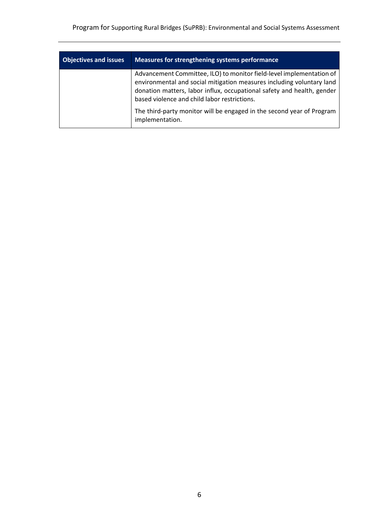| <b>Objectives and issues</b> | Measures for strengthening systems performance                                                                                                                                                                                                                          |
|------------------------------|-------------------------------------------------------------------------------------------------------------------------------------------------------------------------------------------------------------------------------------------------------------------------|
|                              | Advancement Committee, ILO) to monitor field-level implementation of<br>environmental and social mitigation measures including voluntary land<br>donation matters, labor influx, occupational safety and health, gender<br>based violence and child labor restrictions. |
|                              | The third-party monitor will be engaged in the second year of Program<br>implementation.                                                                                                                                                                                |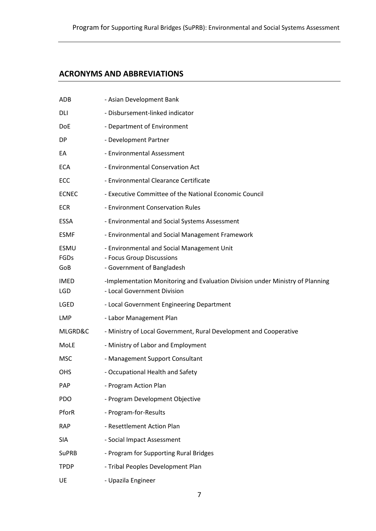# <span id="page-9-0"></span>**ACRONYMS AND ABBREVIATIONS**

| ADB                        | - Asian Development Bank                                                                                     |
|----------------------------|--------------------------------------------------------------------------------------------------------------|
| DLI                        | - Disbursement-linked indicator                                                                              |
| <b>DoE</b>                 | - Department of Environment                                                                                  |
| <b>DP</b>                  | - Development Partner                                                                                        |
| EA                         | - Environmental Assessment                                                                                   |
| <b>ECA</b>                 | - Environmental Conservation Act                                                                             |
| ECC                        | - Environmental Clearance Certificate                                                                        |
| <b>ECNEC</b>               | - Executive Committee of the National Economic Council                                                       |
| <b>ECR</b>                 | - Environment Conservation Rules                                                                             |
| <b>ESSA</b>                | - Environmental and Social Systems Assessment                                                                |
| <b>ESMF</b>                | - Environmental and Social Management Framework                                                              |
| <b>ESMU</b><br>FGDs<br>GoB | - Environmental and Social Management Unit<br>- Focus Group Discussions<br>- Government of Bangladesh        |
| IMED<br>LGD                | -Implementation Monitoring and Evaluation Division under Ministry of Planning<br>- Local Government Division |
| LGED                       | - Local Government Engineering Department                                                                    |
| <b>LMP</b>                 | - Labor Management Plan                                                                                      |
| MLGRD&C                    | - Ministry of Local Government, Rural Development and Cooperative                                            |
| MoLE                       | - Ministry of Labor and Employment                                                                           |
| <b>MSC</b>                 | - Management Support Consultant                                                                              |
| <b>OHS</b>                 | - Occupational Health and Safety                                                                             |
| <b>PAP</b>                 | - Program Action Plan                                                                                        |
| <b>PDO</b>                 | - Program Development Objective                                                                              |
| PforR                      | - Program-for-Results                                                                                        |
| <b>RAP</b>                 | - Resettlement Action Plan                                                                                   |
| <b>SIA</b>                 | - Social Impact Assessment                                                                                   |
| <b>SuPRB</b>               | - Program for Supporting Rural Bridges                                                                       |
| <b>TPDP</b>                | - Tribal Peoples Development Plan                                                                            |
| UE                         | - Upazila Engineer                                                                                           |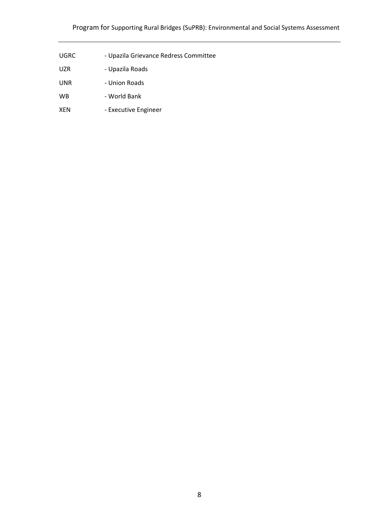# Program for Supporting Rural Bridges (SuPRB): Environmental and Social Systems Assessment

- UGRC Upazila Grievance Redress Committee
- UZR Upazila Roads
- UNR Union Roads
- WB World Bank
- XEN Executive Engineer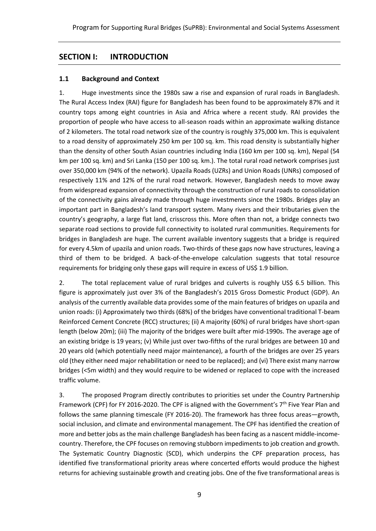# <span id="page-11-0"></span>**SECTION I: INTRODUCTION**

## <span id="page-11-1"></span>**1.1 Background and Context**

1. Huge investments since the 1980s saw a rise and expansion of rural roads in Bangladesh. The Rural Access Index (RAI) figure for Bangladesh has been found to be approximately 87% and it country tops among eight countries in Asia and Africa where a recent study. RAI provides the proportion of people who have access to all-season roads within an approximate walking distance of 2 kilometers. The total road network size of the country is roughly 375,000 km. This is equivalent to a road density of approximately 250 km per 100 sq. km. This road density is substantially higher than the density of other South Asian countries including India (160 km per 100 sq. km), Nepal (54 km per 100 sq. km) and Sri Lanka (150 per 100 sq. km.). The total rural road network comprises just over 350,000 km (94% of the network). Upazila Roads (UZRs) and Union Roads (UNRs) composed of respectively 11% and 12% of the rural road network. However, Bangladesh needs to move away from widespread expansion of connectivity through the construction of rural roads to consolidation of the connectivity gains already made through huge investments since the 1980s. Bridges play an important part in Bangladesh's land transport system. Many rivers and their tributaries given the country's geography, a large flat land, crisscross this. More often than not, a bridge connects two separate road sections to provide full connectivity to isolated rural communities. Requirements for bridges in Bangladesh are huge. The current available inventory suggests that a bridge is required for every 4.5km of upazila and union roads. Two-thirds of these gaps now have structures, leaving a third of them to be bridged. A back-of-the-envelope calculation suggests that total resource requirements for bridging only these gaps will require in excess of US\$ 1.9 billion.

2. The total replacement value of rural bridges and culverts is roughly US\$ 6.5 billion. This figure is approximately just over 3% of the Bangladesh's 2015 Gross Domestic Product (GDP). An analysis of the currently available data provides some of the main features of bridges on upazila and union roads: (i) Approximately two thirds (68%) of the bridges have conventional traditional T-beam Reinforced Cement Concrete (RCC) structures; (ii) A majority (60%) of rural bridges have short-span length (below 20m); (iii) The majority of the bridges were built after mid-1990s. The average age of an existing bridge is 19 years; (v) While just over two-fifths of the rural bridges are between 10 and 20 years old (which potentially need major maintenance), a fourth of the bridges are over 25 years old (they either need major rehabilitation or need to be replaced); and (vi) There exist many narrow bridges (<5m width) and they would require to be widened or replaced to cope with the increased traffic volume.

3. The proposed Program directly contributes to priorities set under the Country Partnership Framework (CPF) for FY 2016-2020. The CPF is aligned with the Government's 7<sup>th</sup> Five Year Plan and follows the same planning timescale (FY 2016-20). The framework has three focus areas—growth, social inclusion, and climate and environmental management. The CPF has identified the creation of more and better jobs as the main challenge Bangladesh has been facing as a nascent middle-incomecountry. Therefore, the CPF focuses on removing stubborn impediments to job creation and growth. The Systematic Country Diagnostic (SCD), which underpins the CPF preparation process, has identified five transformational priority areas where concerted efforts would produce the highest returns for achieving sustainable growth and creating jobs. One of the five transformational areas is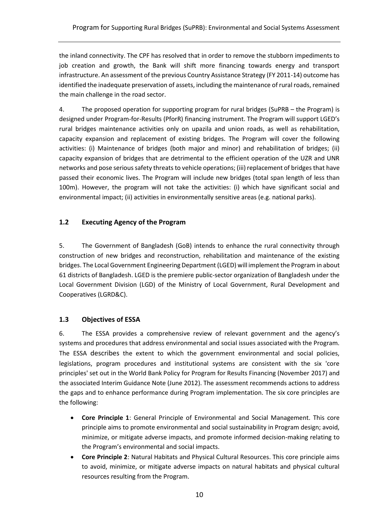the inland connectivity. The CPF has resolved that in order to remove the stubborn impediments to job creation and growth, the Bank will shift more financing towards energy and transport infrastructure. An assessment of the previous Country Assistance Strategy (FY 2011-14) outcome has identified the inadequate preservation of assets, including the maintenance of rural roads, remained the main challenge in the road sector.

4. The proposed operation for supporting program for rural bridges (SuPRB – the Program) is designed under Program-for-Results (PforR) financing instrument. The Program will support LGED's rural bridges maintenance activities only on upazila and union roads, as well as rehabilitation, capacity expansion and replacement of existing bridges. The Program will cover the following activities: (i) Maintenance of bridges (both major and minor) and rehabilitation of bridges; (ii) capacity expansion of bridges that are detrimental to the efficient operation of the UZR and UNR networks and pose serious safety threats to vehicle operations; (iii) replacement of bridges that have passed their economic lives. The Program will include new bridges (total span length of less than 100m). However, the program will not take the activities: (i) which have significant social and environmental impact; (ii) activities in environmentally sensitive areas (e.g. national parks).

# <span id="page-12-0"></span>**1.2 Executing Agency of the Program**

5. The Government of Bangladesh (GoB) intends to enhance the rural connectivity through construction of new bridges and reconstruction, rehabilitation and maintenance of the existing bridges. The Local Government Engineering Department (LGED) will implement the Program in about 61 districts of Bangladesh. LGED is the premiere public-sector organization of Bangladesh under the Local Government Division (LGD) of the Ministry of Local Government, Rural Development and Cooperatives (LGRD&C).

# <span id="page-12-1"></span>**1.3 Objectives of ESSA**

6. The ESSA provides a comprehensive review of relevant government and the agency's systems and procedures that address environmental and social issues associated with the Program. The ESSA describes the extent to which the government environmental and social policies, legislations, program procedures and institutional systems are consistent with the six 'core principles' set out in the World Bank Policy for Program for Results Financing (November 2017) and the associated Interim Guidance Note (June 2012). The assessment recommends actions to address the gaps and to enhance performance during Program implementation. The six core principles are the following:

- **Core Principle 1**: General Principle of Environmental and Social Management. This core principle aims to promote environmental and social sustainability in Program design; avoid, minimize, or mitigate adverse impacts, and promote informed decision-making relating to the Program's environmental and social impacts.
- **Core Principle 2**: Natural Habitats and Physical Cultural Resources. This core principle aims to avoid, minimize, or mitigate adverse impacts on natural habitats and physical cultural resources resulting from the Program.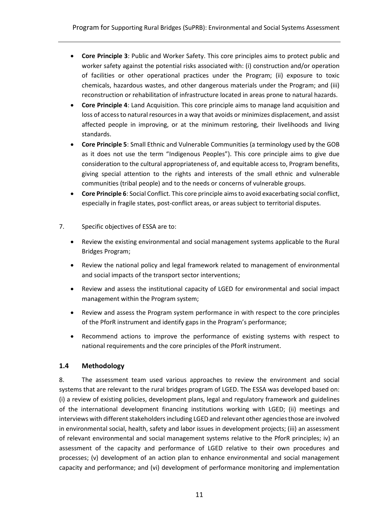- **Core Principle 3**: Public and Worker Safety. This core principles aims to protect public and worker safety against the potential risks associated with: (i) construction and/or operation of facilities or other operational practices under the Program; (ii) exposure to toxic chemicals, hazardous wastes, and other dangerous materials under the Program; and (iii) reconstruction or rehabilitation of infrastructure located in areas prone to natural hazards.
- **Core Principle 4**: Land Acquisition. This core principle aims to manage land acquisition and loss of access to natural resources in a way that avoids or minimizes displacement, and assist affected people in improving, or at the minimum restoring, their livelihoods and living standards.
- **Core Principle 5**: Small Ethnic and Vulnerable Communities (a terminology used by the GOB as it does not use the term "Indigenous Peoples"). This core principle aims to give due consideration to the cultural appropriateness of, and equitable access to, Program benefits, giving special attention to the rights and interests of the small ethnic and vulnerable communities (tribal people) and to the needs or concerns of vulnerable groups.
- **Core Principle 6**: Social Conflict. This core principle aims to avoid exacerbating social conflict, especially in fragile states, post-conflict areas, or areas subject to territorial disputes.
- 7. Specific objectives of ESSA are to:
	- Review the existing environmental and social management systems applicable to the Rural Bridges Program;
	- Review the national policy and legal framework related to management of environmental and social impacts of the transport sector interventions;
	- Review and assess the institutional capacity of LGED for environmental and social impact management within the Program system;
	- Review and assess the Program system performance in with respect to the core principles of the PforR instrument and identify gaps in the Program's performance;
	- Recommend actions to improve the performance of existing systems with respect to national requirements and the core principles of the PforR instrument.

# <span id="page-13-0"></span>**1.4 Methodology**

8. The assessment team used various approaches to review the environment and social systems that are relevant to the rural bridges program of LGED. The ESSA was developed based on: (i) a review of existing policies, development plans, legal and regulatory framework and guidelines of the international development financing institutions working with LGED; (ii) meetings and interviews with different stakeholders including LGED and relevant other agencies those are involved in environmental social, health, safety and labor issues in development projects; (iii) an assessment of relevant environmental and social management systems relative to the PforR principles; iv) an assessment of the capacity and performance of LGED relative to their own procedures and processes; (v) development of an action plan to enhance environmental and social management capacity and performance; and (vi) development of performance monitoring and implementation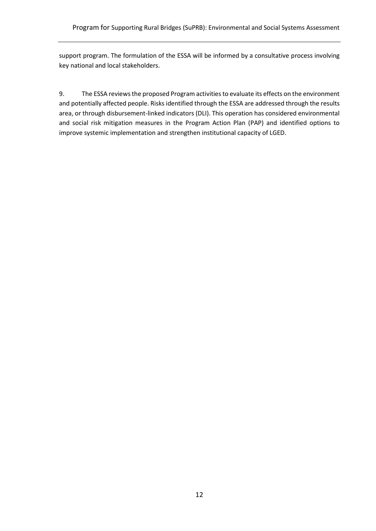support program. The formulation of the ESSA will be informed by a consultative process involving key national and local stakeholders.

9. The ESSA reviewsthe proposed Program activities to evaluate its effects on the environment and potentially affected people. Risks identified through the ESSA are addressed through the results area, or through disbursement-linked indicators (DLI). This operation has considered environmental and social risk mitigation measures in the Program Action Plan (PAP) and identified options to improve systemic implementation and strengthen institutional capacity of LGED.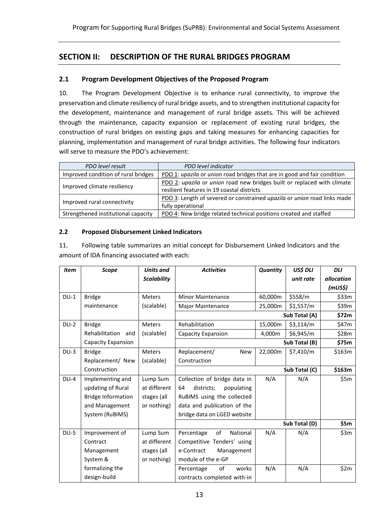# <span id="page-15-0"></span>**SECTION II: DESCRIPTION OF THE RURAL BRIDGES PROGRAM**

#### <span id="page-15-1"></span>**2.1 Program Development Objectives of the Proposed Program**

10. The Program Development Objective is to enhance rural connectivity, to improve the preservation and climate resiliency of rural bridge assets, and to strengthen institutional capacity for the development, maintenance and management of rural bridge assets. This will be achieved through the maintenance, capacity expansion or replacement of existing rural bridges, the construction of rural bridges on existing gaps and taking measures for enhancing capacities for planning, implementation and management of rural bridge activities. The following four indicators will serve to measure the PDO's achievement:

| PDO level result                    | PDO level indicator                                                      |
|-------------------------------------|--------------------------------------------------------------------------|
| Improved condition of rural bridges | PDO 1: upazila or union road bridges that are in good and fair condition |
|                                     | PDO 2: upazila or union road new bridges built or replaced with climate  |
| Improved climate resiliency         | resilient features in 19 coastal districts                               |
| Improved rural connectivity         | PDO 3: Length of severed or constrained upazila or union road links made |
|                                     | fully operational                                                        |
| Strengthened institutional capacity | PDO 4: New bridge related technical positions created and staffed        |

#### **2.2 Proposed Disbursement Linked Indicators**

11. Following table summarizes an initial concept for Disbursement Linked Indicators and the amount of IDA financing associated with each:

| <b>Item</b> | <b>Scope</b>              | <b>Units and</b>   | <b>Activities</b>              | Quantity | US\$ DLI      | <b>DLI</b> |
|-------------|---------------------------|--------------------|--------------------------------|----------|---------------|------------|
|             |                           | <b>Scalability</b> |                                |          | unit rate     | allocation |
|             |                           |                    |                                |          |               | (mUS\$)    |
| $DLI-1$     | <b>Bridge</b>             | <b>Meters</b>      | <b>Minor Maintenance</b>       | 60,000m  | \$558/m       | \$33m      |
|             | maintenance               | (scalable)         | Major Maintenance              | 25,000m  | \$1,557/m     | \$39m      |
|             |                           |                    | Sub Total (A)                  |          |               | \$72m      |
| DLI-2       | <b>Bridge</b>             | <b>Meters</b>      | Rehabilitation                 | 15,000m  | \$3,114/m     | \$47m      |
|             | Rehabilitation<br>and     | (scalable)         | Capacity Expansion             | 4,000m   | \$6,945/m     | \$28m      |
|             | Capacity Expansion        |                    |                                |          | Sub Total (B) | \$75m      |
| $DLI-3$     | <b>Bridge</b>             | <b>Meters</b>      | Replacement/<br><b>New</b>     | 22,000m  | \$7,410/m     | \$163m     |
|             | Replacement/ New          | (scalable)         | Construction                   |          |               |            |
|             | Construction              |                    |                                |          | Sub Total (C) | \$163m     |
| DLI-4       | Implementing and          | Lump Sum           | Collection of bridge data in   | N/A      | N/A           | \$5m       |
|             | updating of Rural         | at different       | 64<br>districts;<br>populating |          |               |            |
|             | <b>Bridge Information</b> | stages (all        | RuBIMS using the collected     |          |               |            |
|             | and Management            | or nothing)        | data and publication of the    |          |               |            |
|             | System (RuBIMS)           |                    | bridge data on LGED website    |          |               |            |
|             |                           |                    |                                |          | Sub Total (D) | \$5m       |
| DLI-5       | Improvement of            | Lump Sum           | of<br>National<br>Percentage   | N/A      | N/A           | \$3m       |
|             | Contract                  | at different       | Competitive Tenders' using     |          |               |            |
|             | Management                | stages (all        | e-Contract<br>Management       |          |               |            |
|             | System &                  | or nothing)        | module of the e-GP             |          |               |            |
|             | formalizing the           |                    | of<br>Percentage<br>works      | N/A      | N/A           | \$2m       |
|             | design-build              |                    | contracts completed with-in    |          |               |            |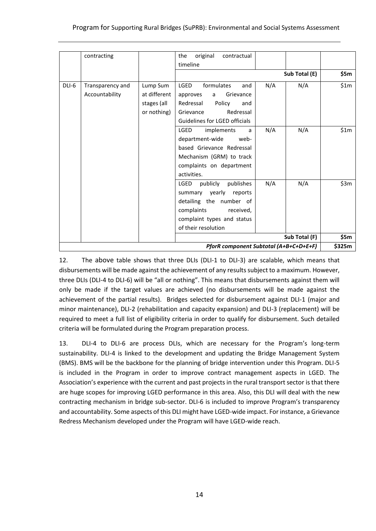|       | contracting      |              | original<br>contractual<br>the         |     |               |        |
|-------|------------------|--------------|----------------------------------------|-----|---------------|--------|
|       |                  |              | timeline                               |     |               |        |
|       |                  |              |                                        |     | Sub Total (E) | \$5m   |
| DLI-6 | Transparency and | Lump Sum     | <b>LGED</b><br>formulates<br>and       | N/A | N/A           | \$1m   |
|       | Accountability   | at different | approves<br>Grievance<br>a             |     |               |        |
|       |                  | stages (all  | Policy<br>Redressal<br>and             |     |               |        |
|       |                  | or nothing)  | Redressal<br>Grievance                 |     |               |        |
|       |                  |              | Guidelines for LGED officials          |     |               |        |
|       |                  |              | LGED<br>implements<br>a                | N/A | N/A           | \$1m   |
|       |                  |              | department-wide<br>web-                |     |               |        |
|       |                  |              | based Grievance Redressal              |     |               |        |
|       |                  |              | Mechanism (GRM) to track               |     |               |        |
|       |                  |              | complaints on department               |     |               |        |
|       |                  |              | activities.                            |     |               |        |
|       |                  |              | publicly<br><b>LGED</b><br>publishes   | N/A | N/A           | \$3m   |
|       |                  |              | summary yearly<br>reports              |     |               |        |
|       |                  |              | detailing the number of                |     |               |        |
|       |                  |              | complaints<br>received,                |     |               |        |
|       |                  |              | complaint types and status             |     |               |        |
|       |                  |              | of their resolution                    |     |               |        |
|       |                  |              |                                        |     | Sub Total (F) | \$5m   |
|       |                  |              | PforR component Subtotal (A+B+C+D+E+F) |     |               | \$325m |

12. The above table shows that three DLIs (DLI-1 to DLI-3) are scalable, which means that disbursements will be made against the achievement of any results subject to a maximum. However, three DLIs (DLI-4 to DLI-6) will be "all or nothing". This means that disbursements against them will only be made if the target values are achieved (no disbursements will be made against the achievement of the partial results). Bridges selected for disbursement against DLI-1 (major and minor maintenance), DLI-2 (rehabilitation and capacity expansion) and DLI-3 (replacement) will be required to meet a full list of eligibility criteria in order to qualify for disbursement. Such detailed criteria will be formulated during the Program preparation process.

13. DLI-4 to DLI-6 are process DLIs, which are necessary for the Program's long-term sustainability. DLI-4 is linked to the development and updating the Bridge Management System (BMS). BMS will be the backbone for the planning of bridge intervention under this Program. DLI-5 is included in the Program in order to improve contract management aspects in LGED. The Association's experience with the current and past projects in the rural transport sector is that there are huge scopes for improving LGED performance in this area. Also, this DLI will deal with the new contracting mechanism in bridge sub-sector. DLI-6 is included to improve Program's transparency and accountability. Some aspects of this DLI might have LGED-wide impact. For instance, a Grievance Redress Mechanism developed under the Program will have LGED-wide reach.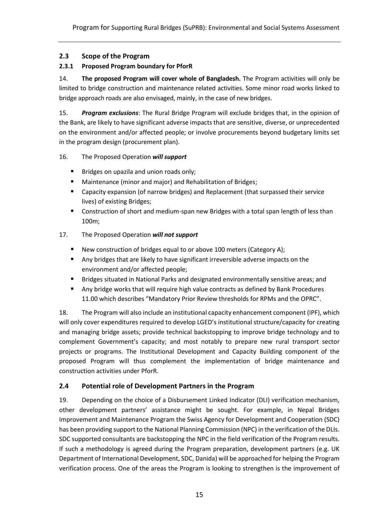# <span id="page-17-0"></span>**2.3 Scope of the Program**

#### <span id="page-17-1"></span>**2.3.1 Proposed Program boundary for PforR**

14. **The proposed Program will cover whole of Bangladesh.** The Program activities will only be limited to bridge construction and maintenance related activities. Some minor road works linked to bridge approach roads are also envisaged, mainly, in the case of new bridges.

15. *Program exclusions*: The Rural Bridge Program will exclude bridges that, in the opinion of the Bank, are likely to have significant adverse impacts that are sensitive, diverse, or unprecedented on the environment and/or affected people; or involve procurements beyond budgetary limits set in the program design (procurement plan).

#### 16. The Proposed Operation *will support*

- Bridges on upazila and union roads only;
- Maintenance (minor and major) and Rehabilitation of Bridges;
- Capacity expansion (of narrow bridges) and Replacement (that surpassed their service lives) of existing Bridges;
- Construction of short and medium-span new Bridges with a total span length of less than 100m;

#### 17. The Proposed Operation *will not support*

- New construction of bridges equal to or above 100 meters (Category A);
- Any bridges that are likely to have significant irreversible adverse impacts on the environment and/or affected people;
- Bridges situated in National Parks and designated environmentally sensitive areas; and
- Any bridge works that will require high value contracts as defined by Bank Procedures 11.00 which describes "Mandatory Prior Review thresholds for RPMs and the OPRC".

18. The Program will also include an institutional capacity enhancement component (IPF), which will only cover expenditures required to develop LGED's institutional structure/capacity for creating and managing bridge assets; provide technical backstopping to improve bridge technology and to complement Government's capacity; and most notably to prepare new rural transport sector projects or programs. The Institutional Development and Capacity Building component of the proposed Program will thus complement the implementation of bridge maintenance and construction activities under PforR.

#### <span id="page-17-2"></span>**2.4 Potential role of Development Partners in the Program**

19. Depending on the choice of a Disbursement Linked Indicator (DLI) verification mechanism, other development partners' assistance might be sought. For example, in Nepal Bridges Improvement and Maintenance Program the Swiss Agency for Development and Cooperation (SDC) has been providing support to the National Planning Commission (NPC) in the verification of the DLIs. SDC supported consultants are backstopping the NPC in the field verification of the Program results. If such a methodology is agreed during the Program preparation, development partners (e.g. UK Department of International Development, SDC, Danida) will be approached for helping the Program verification process. One of the areas the Program is looking to strengthen is the improvement of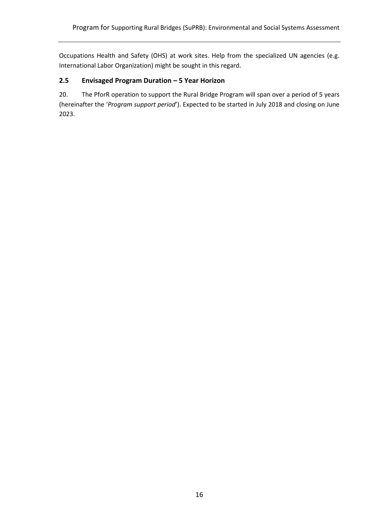Occupations Health and Safety (OHS) at work sites. Help from the specialized UN agencies (e.g. International Labor Organization) might be sought in this regard.

# <span id="page-18-0"></span>**2.5 Envisaged Program Duration – 5 Year Horizon**

20. The PforR operation to support the Rural Bridge Program will span over a period of 5 years (hereinafter the '*Program support period*'). Expected to be started in July 2018 and closing on June 2023.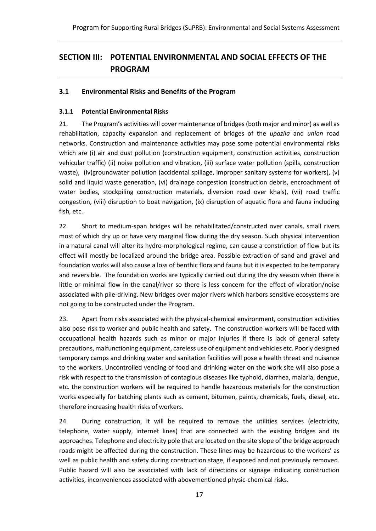# <span id="page-19-0"></span>**SECTION III: POTENTIAL ENVIRONMENTAL AND SOCIAL EFFECTS OF THE PROGRAM**

## <span id="page-19-1"></span>**3.1 Environmental Risks and Benefits of the Program**

#### <span id="page-19-2"></span>**3.1.1 Potential Environmental Risks**

21. The Program's activities will cover maintenance of bridges (both major and minor) as well as rehabilitation, capacity expansion and replacement of bridges of the *upazila* and *union* road networks. Construction and maintenance activities may pose some potential environmental risks which are (i) air and dust pollution (construction equipment, construction activities, construction vehicular traffic) (ii) noise pollution and vibration, (iii) surface water pollution (spills, construction waste), (iv)groundwater pollution (accidental spillage, improper sanitary systems for workers), (v) solid and liquid waste generation, (vi) drainage congestion (construction debris, encroachment of water bodies, stockpiling construction materials, diversion road over khals), (vii) road traffic congestion, (viii) disruption to boat navigation, (ix) disruption of aquatic flora and fauna including fish, etc.

22. Short to medium-span bridges will be rehabilitated/constructed over canals, small rivers most of which dry up or have very marginal flow during the dry season. Such physical intervention in a natural canal will alter its hydro-morphological regime, can cause a constriction of flow but its effect will mostly be localized around the bridge area. Possible extraction of sand and gravel and foundation works will also cause a loss of benthic flora and fauna but it is expected to be temporary and reversible. The foundation works are typically carried out during the dry season when there is little or minimal flow in the canal/river so there is less concern for the effect of vibration/noise associated with pile-driving. New bridges over major rivers which harbors sensitive ecosystems are not going to be constructed under the Program.

23. Apart from risks associated with the physical-chemical environment, construction activities also pose risk to worker and public health and safety. The construction workers will be faced with occupational health hazards such as minor or major injuries if there is lack of general safety precautions, malfunctioning equipment, careless use of equipment and vehicles etc. Poorly designed temporary camps and drinking water and sanitation facilities will pose a health threat and nuisance to the workers. Uncontrolled vending of food and drinking water on the work site will also pose a risk with respect to the transmission of contagious diseases like typhoid, diarrhea, malaria, dengue, etc. the construction workers will be required to handle hazardous materials for the construction works especially for batching plants such as cement, bitumen, paints, chemicals, fuels, diesel, etc. therefore increasing health risks of workers.

24. During construction, it will be required to remove the utilities services (electricity, telephone, water supply, internet lines) that are connected with the existing bridges and its approaches. Telephone and electricity pole that are located on the site slope of the bridge approach roads might be affected during the construction. These lines may be hazardous to the workers' as well as public health and safety during construction stage, if exposed and not previously removed. Public hazard will also be associated with lack of directions or signage indicating construction activities, inconveniences associated with abovementioned physic-chemical risks.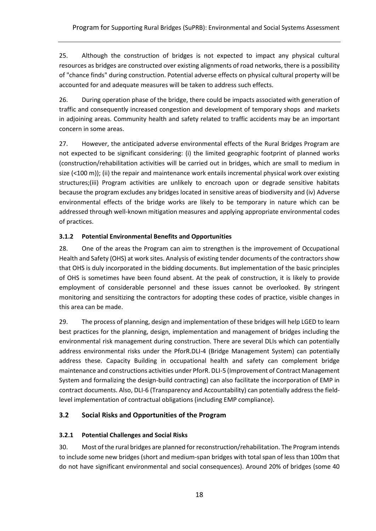25. Although the construction of bridges is not expected to impact any physical cultural resources as bridges are constructed over existing alignments of road networks, there is a possibility of "chance finds" during construction. Potential adverse effects on physical cultural property will be accounted for and adequate measures will be taken to address such effects.

26. During operation phase of the bridge, there could be impacts associated with generation of traffic and consequently increased congestion and development of temporary shops and markets in adjoining areas. Community health and safety related to traffic accidents may be an important concern in some areas.

27. However, the anticipated adverse environmental effects of the Rural Bridges Program are not expected to be significant considering: (i) the limited geographic footprint of planned works (construction/rehabilitation activities will be carried out in bridges, which are small to medium in size (<100 m)); (ii) the repair and maintenance work entails incremental physical work over existing structures;(iii) Program activities are unlikely to encroach upon or degrade sensitive habitats because the program excludes any bridges located in sensitive areas of biodiversity and (iv) Adverse environmental effects of the bridge works are likely to be temporary in nature which can be addressed through well-known mitigation measures and applying appropriate environmental codes of practices.

## <span id="page-20-0"></span>**3.1.2 Potential Environmental Benefits and Opportunities**

28. One of the areas the Program can aim to strengthen is the improvement of Occupational Health and Safety (OHS) at work sites. Analysis of existing tender documents of the contractors show that OHS is duly incorporated in the bidding documents. But implementation of the basic principles of OHS is sometimes have been found absent. At the peak of construction, it is likely to provide employment of considerable personnel and these issues cannot be overlooked. By stringent monitoring and sensitizing the contractors for adopting these codes of practice, visible changes in this area can be made.

29. The process of planning, design and implementation of these bridges will help LGED to learn best practices for the planning, design, implementation and management of bridges including the environmental risk management during construction. There are several DLIs which can potentially address environmental risks under the PforR.DLI-4 (Bridge Management System) can potentially address these. Capacity Building in occupational health and safety can complement bridge maintenance and constructions activities under PforR. DLI-5 (Improvement of Contract Management System and formalizing the design-build contracting) can also facilitate the incorporation of EMP in contract documents. Also, DLI-6 (Transparency and Accountability) can potentially address the fieldlevel implementation of contractual obligations (including EMP compliance).

# <span id="page-20-1"></span>**3.2 Social Risks and Opportunities of the Program**

# <span id="page-20-2"></span>**3.2.1 Potential Challenges and Social Risks**

30. Most of the rural bridges are planned for reconstruction/rehabilitation. The Program intends to include some new bridges (short and medium-span bridges with total span of less than 100m that do not have significant environmental and social consequences). Around 20% of bridges (some 40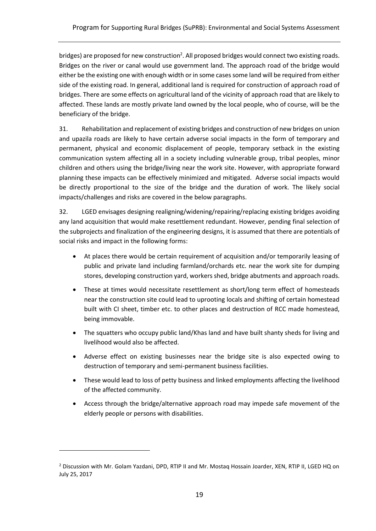bridges) are proposed for new construction<sup>2</sup>. All proposed bridges would connect two existing roads. Bridges on the river or canal would use government land. The approach road of the bridge would either be the existing one with enough width or in some cases some land will be required from either side of the existing road. In general, additional land is required for construction of approach road of bridges. There are some effects on agricultural land of the vicinity of approach road that are likely to affected. These lands are mostly private land owned by the local people, who of course, will be the beneficiary of the bridge.

31. Rehabilitation and replacement of existing bridges and construction of new bridges on union and upazila roads are likely to have certain adverse social impacts in the form of temporary and permanent, physical and economic displacement of people, temporary setback in the existing communication system affecting all in a society including vulnerable group, tribal peoples, minor children and others using the bridge/living near the work site. However, with appropriate forward planning these impacts can be effectively minimized and mitigated. Adverse social impacts would be directly proportional to the size of the bridge and the duration of work. The likely social impacts/challenges and risks are covered in the below paragraphs.

32. LGED envisages designing realigning/widening/repairing/replacing existing bridges avoiding any land acquisition that would make resettlement redundant. However, pending final selection of the subprojects and finalization of the engineering designs, it is assumed that there are potentials of social risks and impact in the following forms:

- At places there would be certain requirement of acquisition and/or temporarily leasing of public and private land including farmland/orchards etc. near the work site for dumping stores, developing construction yard, workers shed, bridge abutments and approach roads.
- These at times would necessitate resettlement as short/long term effect of homesteads near the construction site could lead to uprooting locals and shifting of certain homestead built with CI sheet, timber etc. to other places and destruction of RCC made homestead, being immovable.
- The squatters who occupy public land/Khas land and have built shanty sheds for living and livelihood would also be affected.
- Adverse effect on existing businesses near the bridge site is also expected owing to destruction of temporary and semi-permanent business facilities.
- These would lead to loss of petty business and linked employments affecting the livelihood of the affected community.
- Access through the bridge/alternative approach road may impede safe movement of the elderly people or persons with disabilities.

 $\overline{a}$ 

<sup>&</sup>lt;sup>2</sup> Discussion with Mr. Golam Yazdani, DPD, RTIP II and Mr. Mostaq Hossain Joarder, XEN, RTIP II, LGED HQ on July 25, 2017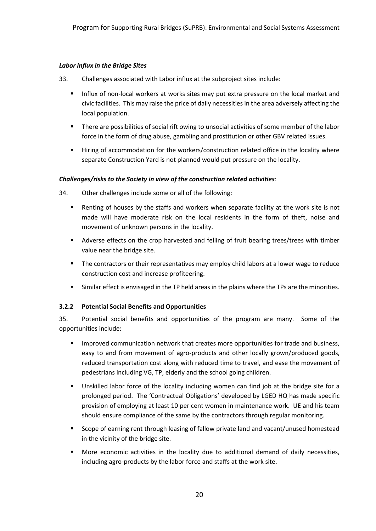#### *Labor influx in the Bridge Sites*

- 33. Challenges associated with Labor influx at the subproject sites include:
	- **.** Influx of non-local workers at works sites may put extra pressure on the local market and civic facilities. This may raise the price of daily necessities in the area adversely affecting the local population.
	- **•** There are possibilities of social rift owing to unsocial activities of some member of the labor force in the form of drug abuse, gambling and prostitution or other GBV related issues.
	- Hiring of accommodation for the workers/construction related office in the locality where separate Construction Yard is not planned would put pressure on the locality.

#### *Challenges/risks to the Society in view of the construction related activities*:

- 34. Other challenges include some or all of the following:
	- Renting of houses by the staffs and workers when separate facility at the work site is not made will have moderate risk on the local residents in the form of theft, noise and movement of unknown persons in the locality.
	- Adverse effects on the crop harvested and felling of fruit bearing trees/trees with timber value near the bridge site.
	- **■** The contractors or their representatives may employ child labors at a lower wage to reduce construction cost and increase profiteering.
	- Similar effect is envisaged in the TP held areas in the plains where the TPs are the minorities.

#### <span id="page-22-0"></span>**3.2.2 Potential Social Benefits and Opportunities**

35. Potential social benefits and opportunities of the program are many. Some of the opportunities include:

- Improved communication network that creates more opportunities for trade and business, easy to and from movement of agro-products and other locally grown/produced goods, reduced transportation cost along with reduced time to travel, and ease the movement of pedestrians including VG, TP, elderly and the school going children.
- Unskilled labor force of the locality including women can find job at the bridge site for a prolonged period. The 'Contractual Obligations' developed by LGED HQ has made specific provision of employing at least 10 per cent women in maintenance work. UE and his team should ensure compliance of the same by the contractors through regular monitoring.
- Scope of earning rent through leasing of fallow private land and vacant/unused homestead in the vicinity of the bridge site.
- More economic activities in the locality due to additional demand of daily necessities, including agro-products by the labor force and staffs at the work site.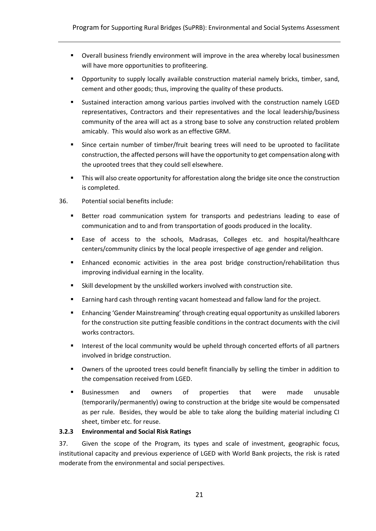- Overall business friendly environment will improve in the area whereby local businessmen will have more opportunities to profiteering.
- Opportunity to supply locally available construction material namely bricks, timber, sand, cement and other goods; thus, improving the quality of these products.
- Sustained interaction among various parties involved with the construction namely LGED representatives, Contractors and their representatives and the local leadership/business community of the area will act as a strong base to solve any construction related problem amicably. This would also work as an effective GRM.
- Since certain number of timber/fruit bearing trees will need to be uprooted to facilitate construction, the affected persons will have the opportunity to get compensation along with the uprooted trees that they could sell elsewhere.
- This will also create opportunity for afforestation along the bridge site once the construction is completed.
- 36. Potential social benefits include:
	- **EXECTER 19 IS A FIGURE 1** Better road communication system for transports and pedestrians leading to ease of communication and to and from transportation of goods produced in the locality.
	- Ease of access to the schools, Madrasas, Colleges etc. and hospital/healthcare centers/community clinics by the local people irrespective of age gender and religion.
	- Enhanced economic activities in the area post bridge construction/rehabilitation thus improving individual earning in the locality.
	- Skill development by the unskilled workers involved with construction site.
	- Earning hard cash through renting vacant homestead and fallow land for the project.
	- Enhancing 'Gender Mainstreaming' through creating equal opportunity as unskilled laborers for the construction site putting feasible conditions in the contract documents with the civil works contractors.
	- Interest of the local community would be upheld through concerted efforts of all partners involved in bridge construction.
	- **•** Owners of the uprooted trees could benefit financially by selling the timber in addition to the compensation received from LGED.
	- Businessmen and owners of properties that were made unusable (temporarily/permanently) owing to construction at the bridge site would be compensated as per rule. Besides, they would be able to take along the building material including CI sheet, timber etc. for reuse.

#### <span id="page-23-0"></span>**3.2.3 Environmental and Social Risk Ratings**

37. Given the scope of the Program, its types and scale of investment, geographic focus, institutional capacity and previous experience of LGED with World Bank projects, the risk is rated moderate from the environmental and social perspectives.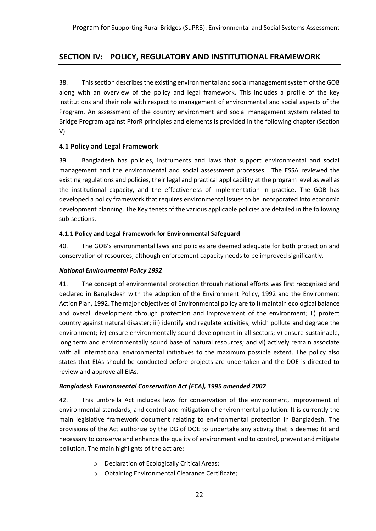# <span id="page-24-0"></span>**SECTION IV: POLICY, REGULATORY AND INSTITUTIONAL FRAMEWORK**

38. This section describes the existing environmental and social management system of the GOB along with an overview of the policy and legal framework. This includes a profile of the key institutions and their role with respect to management of environmental and social aspects of the Program. An assessment of the country environment and social management system related to Bridge Program against PforR principles and elements is provided in the following chapter (Section V)

#### <span id="page-24-1"></span>**4.1 Policy and Legal Framework**

39. Bangladesh has policies, instruments and laws that support environmental and social management and the environmental and social assessment processes. The ESSA reviewed the existing regulations and policies, their legal and practical applicability at the program level as well as the institutional capacity, and the effectiveness of implementation in practice. The GOB has developed a policy framework that requires environmental issues to be incorporated into economic development planning. The Key tenets of the various applicable policies are detailed in the following sub-sections.

#### <span id="page-24-2"></span>**4.1.1 Policy and Legal Framework for Environmental Safeguard**

40. The GOB's environmental laws and policies are deemed adequate for both protection and conservation of resources, although enforcement capacity needs to be improved significantly.

#### *National Environmental Policy 1992*

41. The concept of environmental protection through national efforts was first recognized and declared in Bangladesh with the adoption of the Environment Policy, 1992 and the Environment Action Plan, 1992. The major objectives of Environmental policy are to i) maintain ecological balance and overall development through protection and improvement of the environment; ii) protect country against natural disaster; iii) identify and regulate activities, which pollute and degrade the environment; iv) ensure environmentally sound development in all sectors; v) ensure sustainable, long term and environmentally sound base of natural resources; and vi) actively remain associate with all international environmental initiatives to the maximum possible extent. The policy also states that EIAs should be conducted before projects are undertaken and the DOE is directed to review and approve all EIAs.

#### *Bangladesh Environmental Conservation Act (ECA), 1995 amended 2002*

42. This umbrella Act includes laws for conservation of the environment, improvement of environmental standards, and control and mitigation of environmental pollution. It is currently the main legislative framework document relating to environmental protection in Bangladesh. The provisions of the Act authorize by the DG of DOE to undertake any activity that is deemed fit and necessary to conserve and enhance the quality of environment and to control, prevent and mitigate pollution. The main highlights of the act are:

- o Declaration of Ecologically Critical Areas;
- o Obtaining Environmental Clearance Certificate;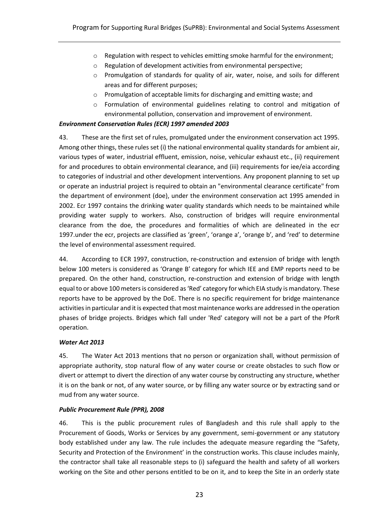- o Regulation with respect to vehicles emitting smoke harmful for the environment;
- o Regulation of development activities from environmental perspective;
- o Promulgation of standards for quality of air, water, noise, and soils for different areas and for different purposes;
- o Promulgation of acceptable limits for discharging and emitting waste; and
- o Formulation of environmental guidelines relating to control and mitigation of environmental pollution, conservation and improvement of environment.

#### *Environment Conservation Rules (ECR) 1997 amended 2003*

43. These are the first set of rules, promulgated under the environment conservation act 1995. Among other things, these rules set (i) the national environmental quality standards for ambient air, various types of water, industrial effluent, emission, noise, vehicular exhaust etc., (ii) requirement for and procedures to obtain environmental clearance, and (iii) requirements for iee/eia according to categories of industrial and other development interventions. Any proponent planning to set up or operate an industrial project is required to obtain an "environmental clearance certificate" from the department of environment (doe), under the environment conservation act 1995 amended in 2002. Ecr 1997 contains the drinking water quality standards which needs to be maintained while providing water supply to workers. Also, construction of bridges will require environmental clearance from the doe, the procedures and formalities of which are delineated in the ecr 1997.under the ecr, projects are classified as 'green', 'orange a', 'orange b', and 'red' to determine the level of environmental assessment required.

44. According to ECR 1997, construction, re-construction and extension of bridge with length below 100 meters is considered as 'Orange B' category for which IEE and EMP reports need to be prepared. On the other hand, construction, re-construction and extension of bridge with length equal to or above 100 meters is considered as 'Red' category for which EIA study is mandatory. These reports have to be approved by the DoE. There is no specific requirement for bridge maintenance activitiesin particular and it is expected that most maintenance works are addressed in the operation phases of bridge projects. Bridges which fall under 'Red' category will not be a part of the PforR operation.

#### *Water Act 2013*

45. The Water Act 2013 mentions that no person or organization shall, without permission of appropriate authority, stop natural flow of any water course or create obstacles to such flow or divert or attempt to divert the direction of any water course by constructing any structure, whether it is on the bank or not, of any water source, or by filling any water source or by extracting sand or mud from any water source.

#### *Public Procurement Rule (PPR), 2008*

46. This is the public procurement rules of Bangladesh and this rule shall apply to the Procurement of Goods, Works or Services by any government, semi-government or any statutory body established under any law. The rule includes the adequate measure regarding the "Safety, Security and Protection of the Environment' in the construction works. This clause includes mainly, the contractor shall take all reasonable steps to (i) safeguard the health and safety of all workers working on the Site and other persons entitled to be on it, and to keep the Site in an orderly state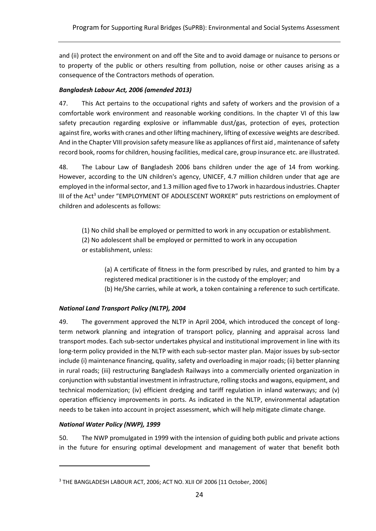and (ii) protect the environment on and off the Site and to avoid damage or nuisance to persons or to property of the public or others resulting from pollution, noise or other causes arising as a consequence of the Contractors methods of operation.

## *Bangladesh Labour Act, 2006 (amended 2013)*

47. This Act pertains to the occupational rights and safety of workers and the provision of a comfortable work environment and reasonable working conditions. In the chapter VI of this law safety precaution regarding explosive or inflammable dust/gas, protection of eyes, protection against fire, works with cranes and other lifting machinery, lifting of excessive weights are described. And in the Chapter VIII provision safety measure like as appliances of first aid , maintenance of safety record book, rooms for children, housing facilities, medical care, group insurance etc. are illustrated.

48. The Labour Law of Bangladesh 2006 bans children under the age of 14 from working. However, according to the UN children's agency, UNICEF, 4.7 million children under that age are employed in the informal sector, and 1.3 million aged five to 17work in hazardous industries. Chapter III of the Act<sup>3</sup> under "EMPLOYMENT OF ADOLESCENT WORKER" puts restrictions on employment of children and adolescents as follows:

(1) No child shall be employed or permitted to work in any occupation or establishment. (2) No adolescent shall be employed or permitted to work in any occupation or establishment, unless:

(a) A certificate of fitness in the form prescribed by rules, and granted to him by a registered medical practitioner is in the custody of the employer; and (b) He/She carries, while at work, a token containing a reference to such certificate.

# *National Land Transport Policy (NLTP), 2004*

49. The government approved the NLTP in April 2004, which introduced the concept of longterm network planning and integration of transport policy, planning and appraisal across land transport modes. Each sub-sector undertakes physical and institutional improvement in line with its long-term policy provided in the NLTP with each sub-sector master plan. Major issues by sub-sector include (i) maintenance financing, quality, safety and overloading in major roads; (ii) better planning in rural roads; (iii) restructuring Bangladesh Railways into a commercially oriented organization in conjunction with substantial investment in infrastructure, rolling stocks and wagons, equipment, and technical modernization; (iv) efficient dredging and tariff regulation in inland waterways; and (v) operation efficiency improvements in ports. As indicated in the NLTP, environmental adaptation needs to be taken into account in project assessment, which will help mitigate climate change.

#### *National Water Policy (NWP), 1999*

 $\overline{a}$ 

50. The NWP promulgated in 1999 with the intension of guiding both public and private actions in the future for ensuring optimal development and management of water that benefit both

<sup>3</sup> THE BANGLADESH LABOUR ACT, 2006; ACT NO. XLII OF 2006 [11 October, 2006]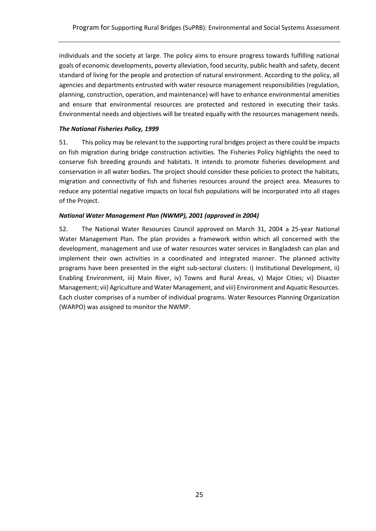individuals and the society at large. The policy aims to ensure progress towards fulfilling national goals of economic developments, poverty alleviation, food security, public health and safety, decent standard of living for the people and protection of natural environment. According to the policy, all agencies and departments entrusted with water resource management responsibilities (regulation, planning, construction, operation, and maintenance) will have to enhance environmental amenities and ensure that environmental resources are protected and restored in executing their tasks. Environmental needs and objectives will be treated equally with the resources management needs.

#### *The National Fisheries Policy, 1999*

51. This policy may be relevant to the supporting rural bridges project as there could be impacts on fish migration during bridge construction activities. The Fisheries Policy highlights the need to conserve fish breeding grounds and habitats. It intends to promote fisheries development and conservation in all water bodies. The project should consider these policies to protect the habitats, migration and connectivity of fish and fisheries resources around the project area. Measures to reduce any potential negative impacts on local fish populations will be incorporated into all stages of the Project.

#### *National Water Management Plan (NWMP), 2001 (approved in 2004)*

52. The National Water Resources Council approved on March 31, 2004 a 25-year National Water Management Plan. The plan provides a framework within which all concerned with the development, management and use of water resources water services in Bangladesh can plan and implement their own activities in a coordinated and integrated manner. The planned activity programs have been presented in the eight sub-sectoral clusters: i) Institutional Development, ii) Enabling Environment, iii) Main River, iv) Towns and Rural Areas, v) Major Cities; vi) Disaster Management; vii) Agriculture and Water Management, and viii) Environment and Aquatic Resources. Each cluster comprises of a number of individual programs. Water Resources Planning Organization (WARPO) was assigned to monitor the NWMP.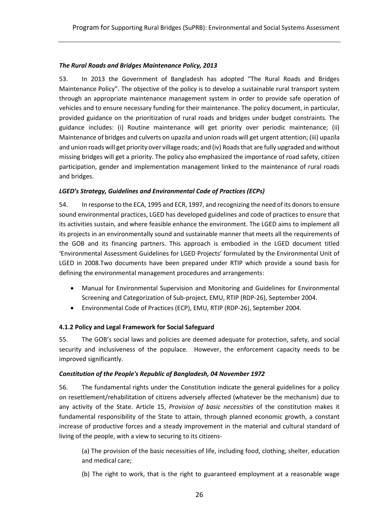#### *The Rural Roads and Bridges Maintenance Policy, 2013*

53. In 2013 the Government of Bangladesh has adopted "The Rural Roads and Bridges Maintenance Policy". The objective of the policy is to develop a sustainable rural transport system through an appropriate maintenance management system in order to provide safe operation of vehicles and to ensure necessary funding for their maintenance. The policy document, in particular, provided guidance on the prioritization of rural roads and bridges under budget constraints. The guidance includes: (i) Routine maintenance will get priority over periodic maintenance; (ii) Maintenance of bridges and culverts on upazila and union roads will get urgent attention; (iii) upazila and union roads will get priority over village roads; and (iv) Roads that are fully upgraded and without missing bridges will get a priority. The policy also emphasized the importance of road safety, citizen participation, gender and implementation management linked to the maintenance of rural roads and bridges.

#### *LGED's Strategy, Guidelines and Environmental Code of Practices (ECPs)*

54. In response to the ECA, 1995 and ECR, 1997, and recognizing the need of its donors to ensure sound environmental practices, LGED has developed guidelines and code of practices to ensure that its activities sustain, and where feasible enhance the environment. The LGED aims to implement all its projects in an environmentally sound and sustainable manner that meets all the requirements of the GOB and its financing partners. This approach is embodied in the LGED document titled 'Environmental Assessment Guidelines for LGED Projects' formulated by the Environmental Unit of LGED in 2008.Two documents have been prepared under RTIP which provide a sound basis for defining the environmental management procedures and arrangements:

- Manual for Environmental Supervision and Monitoring and Guidelines for Environmental Screening and Categorization of Sub-project, EMU, RTIP (RDP-26), September 2004.
- Environmental Code of Practices (ECP), EMU, RTIP (RDP-26), September 2004.

#### <span id="page-28-0"></span>**4.1.2 Policy and Legal Framework for Social Safeguard**

55. The GOB's social laws and policies are deemed adequate for protection, safety, and social security and inclusiveness of the populace. However, the enforcement capacity needs to be improved significantly.

#### *Constitution of the People's Republic of Bangladesh, 04 November 1972*

56. The fundamental rights under the Constitution indicate the general guidelines for a policy on resettlement/rehabilitation of citizens adversely affected (whatever be the mechanism) due to any activity of the State. Article 15, *Provision of basic necessities* of the constitution makes it fundamental responsibility of the State to attain, through planned economic growth, a constant increase of productive forces and a steady improvement in the material and cultural standard of living of the people, with a view to securing to its citizens-

(a) The provision of the basic necessities of life, including food, clothing, shelter, education and medical care;

(b) The right to work, that is the right to guaranteed employment at a reasonable wage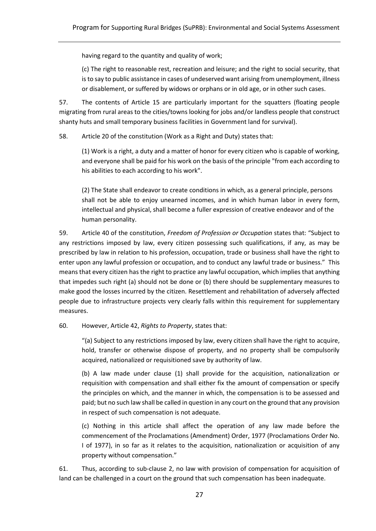having regard to the quantity and quality of work;

(c) The right to reasonable rest, recreation and leisure; and the right to social security, that is to say to public assistance in cases of undeserved want arising from unemployment, illness or disablement, or suffered by widows or orphans or in old age, or in other such cases.

57. The contents of Article 15 are particularly important for the squatters (floating people migrating from rural areas to the cities/towns looking for jobs and/or landless people that construct shanty huts and small temporary business facilities in Government land for survival).

58. Article 20 of the constitution (Work as a Right and Duty) states that:

(1) Work is a right, a duty and a matter of honor for every citizen who is capable of working, and everyone shall be paid for his work on the basis of the principle "from each according to his abilities to each according to his work".

(2) The State shall endeavor to create conditions in which, as a general principle, persons shall not be able to enjoy unearned incomes, and in which human labor in every form, intellectual and physical, shall become a fuller expression of creative endeavor and of the human personality.

59. Article 40 of the constitution, *Freedom of Profession or Occupation* states that: "Subject to any restrictions imposed by law, every citizen possessing such qualifications, if any, as may be prescribed by law in relation to his profession, occupation, trade or business shall have the right to enter upon any lawful profession or occupation, and to conduct any lawful trade or business." This means that every citizen has the right to practice any lawful occupation, which implies that anything that impedes such right (a) should not be done or (b) there should be supplementary measures to make good the losses incurred by the citizen. Resettlement and rehabilitation of adversely affected people due to infrastructure projects very clearly falls within this requirement for supplementary measures.

60. However, Article 42, *Rights to Property*, states that:

"(a) Subject to any restrictions imposed by law, every citizen shall have the right to acquire, hold, transfer or otherwise dispose of property, and no property shall be compulsorily acquired, nationalized or requisitioned save by authority of law.

(b) A law made under clause (1) shall provide for the acquisition, nationalization or requisition with compensation and shall either fix the amount of compensation or specify the principles on which, and the manner in which, the compensation is to be assessed and paid; but no such law shall be called in question in any court on the ground that any provision in respect of such compensation is not adequate.

(c) Nothing in this article shall affect the operation of any law made before the commencement of the Proclamations (Amendment) Order, 1977 (Proclamations Order No. I of 1977), in so far as it relates to the acquisition, nationalization or acquisition of any property without compensation."

61. Thus, according to sub-clause 2, no law with provision of compensation for acquisition of land can be challenged in a court on the ground that such compensation has been inadequate.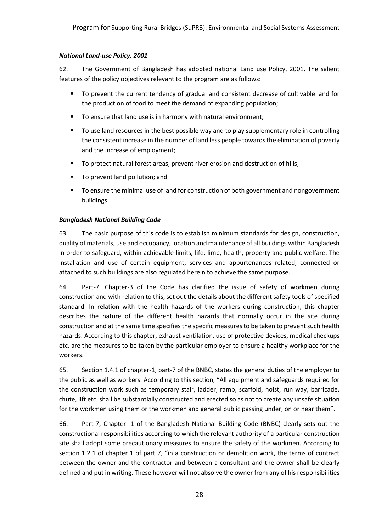#### *National Land-use Policy, 2001*

62. The Government of Bangladesh has adopted national Land use Policy, 2001. The salient features of the policy objectives relevant to the program are as follows:

- To prevent the current tendency of gradual and consistent decrease of cultivable land for the production of food to meet the demand of expanding population;
- To ensure that land use is in harmony with natural environment:
- To use land resources in the best possible way and to play supplementary role in controlling the consistent increase in the number of land less people towards the elimination of poverty and the increase of employment;
- To protect natural forest areas, prevent river erosion and destruction of hills;
- To prevent land pollution; and
- To ensure the minimal use of land for construction of both government and nongovernment buildings.

#### *Bangladesh National Building Code*

63. The basic purpose of this code is to establish minimum standards for design, construction, quality of materials, use and occupancy, location and maintenance of all buildings within Bangladesh in order to safeguard, within achievable limits, life, limb, health, property and public welfare. The installation and use of certain equipment, services and appurtenances related, connected or attached to such buildings are also regulated herein to achieve the same purpose.

64. Part-7, Chapter-3 of the Code has clarified the issue of safety of workmen during construction and with relation to this, set out the details about the different safety tools of specified standard. In relation with the health hazards of the workers during construction, this chapter describes the nature of the different health hazards that normally occur in the site during construction and at the same time specifies the specific measures to be taken to prevent such health hazards. According to this chapter, exhaust ventilation, use of protective devices, medical checkups etc. are the measures to be taken by the particular employer to ensure a healthy workplace for the workers.

65. Section 1.4.1 of chapter-1, part-7 of the BNBC, states the general duties of the employer to the public as well as workers. According to this section, "All equipment and safeguards required for the construction work such as temporary stair, ladder, ramp, scaffold, hoist, run way, barricade, chute, lift etc. shall be substantially constructed and erected so as not to create any unsafe situation for the workmen using them or the workmen and general public passing under, on or near them".

66. Part-7, Chapter -1 of the Bangladesh National Building Code (BNBC) clearly sets out the constructional responsibilities according to which the relevant authority of a particular construction site shall adopt some precautionary measures to ensure the safety of the workmen. According to section 1.2.1 of chapter 1 of part 7, "in a construction or demolition work, the terms of contract between the owner and the contractor and between a consultant and the owner shall be clearly defined and put in writing. These however will not absolve the owner from any of his responsibilities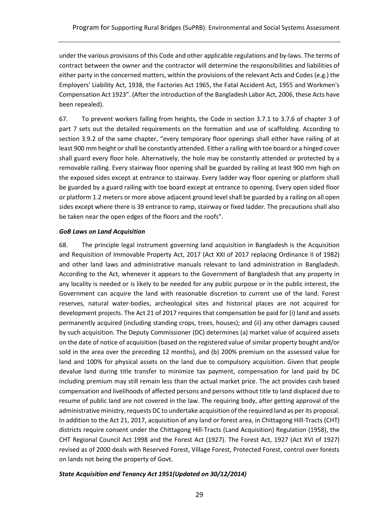under the various provisions of this Code and other applicable regulations and by-laws. The terms of contract between the owner and the contractor will determine the responsibilities and liabilities of either party in the concerned matters, within the provisions of the relevant Acts and Codes (e.g.) the Employers' Liability Act, 1938, the Factories Act 1965, the Fatal Accident Act, 1955 and Workmen's Compensation Act 1923". (After the introduction of the Bangladesh Labor Act, 2006, these Acts have been repealed).

67. To prevent workers falling from heights, the Code in section 3.7.1 to 3.7.6 of chapter 3 of part 7 sets out the detailed requirements on the formation and use of scaffolding. According to section 3.9.2 of the same chapter, "every temporary floor openings shall either have railing of at least 900 mm height or shall be constantly attended. Either a railing with toe board or a hinged cover shall guard every floor hole. Alternatively, the hole may be constantly attended or protected by a removable railing. Every stairway floor opening shall be guarded by railing at least 900 mm high on the exposed sides except at entrance to stairway. Every ladder way floor opening or platform shall be guarded by a guard railing with toe board except at entrance to opening. Every open sided floor or platform 1.2 meters or more above adjacent ground level shall be guarded by a railing on all open sides except where there is 39 entrance to ramp, stairway or fixed ladder. The precautions shall also be taken near the open edges of the floors and the roofs".

#### *GoB Laws on Land Acquisition*

68. The principle legal instrument governing land acquisition in Bangladesh is the Acquisition and Requisition of Immovable Property Act, 2017 (Act XXI of 2017 replacing Ordinance II of 1982) and other land laws and administrative manuals relevant to land administration in Bangladesh. According to the Act, whenever it appears to the Government of Bangladesh that any property in any locality is needed or is likely to be needed for any public purpose or in the public interest, the Government can acquire the land with reasonable discretion to current use of the land. Forest reserves, natural water-bodies, archeological sites and historical places are not acquired for development projects. The Act 21 of 2017 requires that compensation be paid for (i) land and assets permanently acquired (including standing crops, trees, houses); and (ii) any other damages caused by such acquisition. The Deputy Commissioner (DC) determines (a) market value of acquired assets on the date of notice of acquisition (based on the registered value of similar property bought and/or sold in the area over the preceding 12 months), and (b) 200% premium on the assessed value for land and 100% for physical assets on the land due to compulsory acquisition. Given that people devalue land during title transfer to minimize tax payment, compensation for land paid by DC including premium may still remain less than the actual market price. The act provides cash based compensation and livelihoods of affected persons and persons without title to land displaced due to resume of public land are not covered in the law. The requiring body, after getting approval of the administrative ministry, requests DC to undertake acquisition of the required land as per its proposal. In addition to the Act 21, 2017, acquisition of any land or forest area, in Chittagong Hill-Tracts (CHT) districts require consent under the Chittagong Hill-Tracts (Land Acquisition) Regulation (1958), the CHT Regional Council Act 1998 and the Forest Act (1927). The Forest Act, 1927 (Act XVI of 1927) revised as of 2000 deals with Reserved Forest, Village Forest, Protected Forest, control over forests on lands not being the property of Govt.

#### *State Acquisition and Tenancy Act 1951(Updated on 30/12/2014)*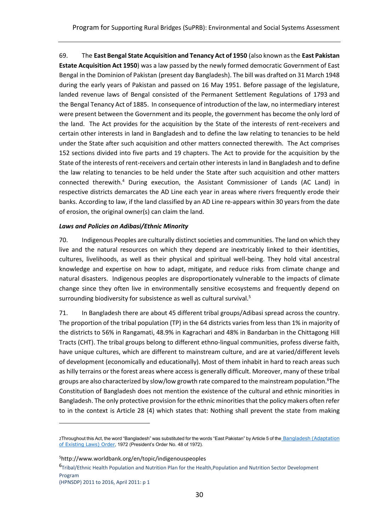69. The **East Bengal State Acquisition and Tenancy Act of 1950** (also known as the **East Pakistan Estate Acquisition Act 1950**) was a law passed by the newly formed democratic [Government of East](https://en.wikipedia.org/wiki/East_Bengal)  [Bengal](https://en.wikipedia.org/wiki/East_Bengal) in the [Dominion of Pakistan](https://en.wikipedia.org/wiki/Dominion_of_Pakistan) (present day [Bangladesh\)](https://en.wikipedia.org/wiki/Bangladesh). The bill was drafted on 31 March 1948 during the early years of Pakistan and passed on 16 May 1951. Before passage of the legislature, landed revenue laws of Bengal consisted of the [Permanent Settlement Regulations of 1793](https://en.wikipedia.org/wiki/Permanent_Settlement) and the [Bengal Tenancy Act of 1885.](https://en.wikipedia.org/wiki/Bengal_Tenancy_Act_(1885)) In consequence of introduction of the law, no intermediary interest were present between the Government and its people, the government has become the only lord of the land. The Act provides for the acquisition by the State of the interests of rent-receivers and certain other interests in land in Bangladesh and to define the law relating to tenancies to be held under the State after such acquisition and other matters connected therewith. The Act comprises 152 sections divided into five parts and 19 chapters. The Act to provide for the acquisition by the State of the interests of rent-receivers and certain other interests in land in Bangladesh and to define the law relating to tenancies to be held under the State after such acquisition and other matters connected therewith.<sup>4</sup> During execution, the Assistant Commissioner of Lands (AC Land) in respective districts demarcates the AD Line each year in areas where rivers frequently erode their banks. According to law, if the land classified by an AD Line re-appears within 30 years from the date of erosion, the original owner(s) can claim the land.

#### *Laws and Policies on Adibasi/Ethnic Minority*

70. Indigenous Peoples are culturally distinct societies and communities. The land on which they live and the natural resources on which they depend are inextricably linked to their identities, cultures, livelihoods, as well as their physical and spiritual well-being. They hold vital ancestral knowledge and expertise on how to adapt, mitigate, and reduce risks from climate change and natural disasters. Indigenous peoples are disproportionately vulnerable to the impacts of climate change since they often live in environmentally sensitive ecosystems and frequently depend on surrounding biodiversity for subsistence as well as cultural survival.<sup>5</sup>

71. In Bangladesh there are about 45 different tribal groups/Adibasi spread across the country. The proportion of the tribal population (TP) in the 64 districts varies from less than 1% in majority of the districts to 56% in Rangamati, 48.9% in Kagrachari and 48% in Bandarban in the Chittagong Hill Tracts (CHT). The tribal groups belong to different ethno-lingual communities, profess diverse faith, have unique cultures, which are different to mainstream culture, and are at varied/different levels of development (economically and educationally). Most of them inhabit in hard to reach areas such as hilly terrains or the forest areas where access is generally difficult. Moreover, many of these tribal groups are also characterized by slow/low growth rate compared to the mainstream population.<sup>6</sup>The Constitution of Bangladesh does not mention the existence of the cultural and ethnic minorities in Bangladesh. The only protective provision for the ethnic minorities that the policy makers often refer to in the context is Article 28 (4) which states that: Nothing shall prevent the state from making

 $\overline{a}$ 

<sup>2</sup>Throughout this Act, the word "Bangladesh" was substituted for the words "East Pakistan" by Article 5 of the Bangladesh (Adaptation [of Existing Laws\) Order](http://bdlaws.minlaw.gov.bd/pdf_part.php?id=388), 1972 (President's Order No. 48 of 1972).

<sup>5</sup>http://www.worldbank.org/en/topic/indigenouspeoples

<sup>6</sup> Tribal/Ethnic Health Population and Nutrition Plan for the Health,Population and Nutrition Sector Development Program

<sup>(</sup>HPNSDP) 2011 to 2016, April 2011: p 1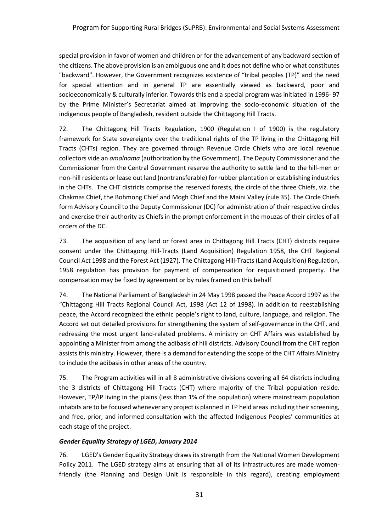special provision in favor of women and children or for the advancement of any backward section of the citizens. The above provision is an ambiguous one and it does not define who or what constitutes "backward". However, the Government recognizes existence of "tribal peoples (TP)" and the need for special attention and in general TP are essentially viewed as backward, poor and socioeconomically & culturally inferior. Towards this end a special program was initiated in 1996- 97 by the Prime Minister's Secretariat aimed at improving the socio-economic situation of the indigenous people of Bangladesh, resident outside the Chittagong Hill Tracts.

72. The Chittagong Hill Tracts Regulation, 1900 (Regulation I of 1900) is the regulatory framework for State sovereignty over the traditional rights of the TP living in the Chittagong Hill Tracts (CHTs) region. They are governed through Revenue Circle Chiefs who are local revenue collectors vide an *amalnama* (authorization by the Government). The Deputy Commissioner and the Commissioner from the Central Government reserve the authority to settle land to the hill-men or non-hill residents or lease out land (nontransferable) for rubber plantation or establishing industries in the CHTs. The CHT districts comprise the reserved forests, the circle of the three Chiefs, viz. the Chakmas Chief, the Bohmong Chief and Mogh Chief and the Maini Valley (rule 35). The Circle Chiefs form Advisory Council to the Deputy Commissioner (DC) for administration of their respective circles and exercise their authority as Chiefs in the prompt enforcement in the mouzas of their circles of all orders of the DC.

73. The acquisition of any land or forest area in Chittagong Hill Tracts (CHT) districts require consent under the Chittagong Hill-Tracts (Land Acquisition) Regulation 1958, the CHT Regional Council Act 1998 and the Forest Act (1927). The Chittagong Hill-Tracts (Land Acquisition) Regulation, 1958 regulation has provision for payment of compensation for requisitioned property. The compensation may be fixed by agreement or by rules framed on this behalf

74. The National Parliament of Bangladesh in 24 May 1998 passed the Peace Accord 1997 as the "Chittagong Hill Tracts Regional Council Act, 1998 (Act 12 of 1998). In addition to reestablishing peace, the Accord recognized the ethnic people's right to land, culture, language, and religion. The Accord set out detailed provisions for strengthening the system of self-governance in the CHT, and redressing the most urgent land-related problems. A ministry on CHT Affairs was established by appointing a Minister from among the adibasis of hill districts. Advisory Council from the CHT region assists this ministry. However, there is a demand for extending the scope of the CHT Affairs Ministry to include the adibasis in other areas of the country.

75. The Program activities will in all 8 administrative divisions covering all 64 districts including the 3 districts of Chittagong Hill Tracts (CHT) where majority of the Tribal population reside. However, TP/IP living in the plains (less than 1% of the population) where mainstream population inhabits are to be focused whenever any project is planned in TP held areas including their screening, and free, prior, and informed consultation with the affected Indigenous Peoples' communities at each stage of the project.

# *Gender Equality Strategy of LGED, January 2014*

76. LGED's Gender Equality Strategy draws its strength from the National Women Development Policy 2011. The LGED strategy aims at ensuring that all of its infrastructures are made womenfriendly (the Planning and Design Unit is responsible in this regard), creating employment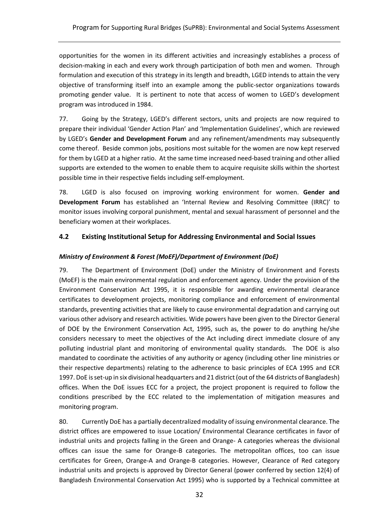opportunities for the women in its different activities and increasingly establishes a process of decision-making in each and every work through participation of both men and women. Through formulation and execution of this strategy in its length and breadth, LGED intends to attain the very objective of transforming itself into an example among the public-sector organizations towards promoting gender value. It is pertinent to note that access of women to LGED's development program was introduced in 1984.

77. Going by the Strategy, LGED's different sectors, units and projects are now required to prepare their individual 'Gender Action Plan' and 'Implementation Guidelines', which are reviewed by LGED's **Gender and Development Forum** and any refinement/amendments may subsequently come thereof. Beside common jobs, positions most suitable for the women are now kept reserved for them by LGED at a higher ratio. At the same time increased need-based training and other allied supports are extended to the women to enable them to acquire requisite skills within the shortest possible time in their respective fields including self-employment.

78. LGED is also focused on improving working environment for women. **Gender and Development Forum** has established an 'Internal Review and Resolving Committee (IRRC)' to monitor issues involving corporal punishment, mental and sexual harassment of personnel and the beneficiary women at their workplaces.

#### <span id="page-34-0"></span>**4.2 Existing Institutional Setup for Addressing Environmental and Social Issues**

#### *Ministry of Environment & Forest (MoEF)/Department of Environment (DoE)*

79. The Department of Environment (DoE) under the Ministry of Environment and Forests (MoEF) is the main environmental regulation and enforcement agency. Under the provision of the Environment Conservation Act 1995, it is responsible for awarding environmental clearance certificates to development projects, monitoring compliance and enforcement of environmental standards, preventing activities that are likely to cause environmental degradation and carrying out various other advisory and research activities. Wide powers have been given to the Director General of DOE by the Environment Conservation Act, 1995, such as, the power to do anything he/she considers necessary to meet the objectives of the Act including direct immediate closure of any polluting industrial plant and monitoring of environmental quality standards. The DOE is also mandated to coordinate the activities of any authority or agency (including other line ministries or their respective departments) relating to the adherence to basic principles of ECA 1995 and ECR 1997. DoE is set-up in six divisional headquarters and 21 district (out of the 64 districts of Bangladesh) offices. When the DoE issues ECC for a project, the project proponent is required to follow the conditions prescribed by the ECC related to the implementation of mitigation measures and monitoring program.

80. Currently DoE has a partially decentralized modality of issuing environmental clearance. The district offices are empowered to issue Location/ Environmental Clearance certificates in favor of industrial units and projects falling in the Green and Orange- A categories whereas the divisional offices can issue the same for Orange-B categories. The metropolitan offices, too can issue certificates for Green, Orange-A and Orange-B categories. However, Clearance of Red category industrial units and projects is approved by Director General (power conferred by section 12(4) of Bangladesh Environmental Conservation Act 1995) who is supported by a Technical committee at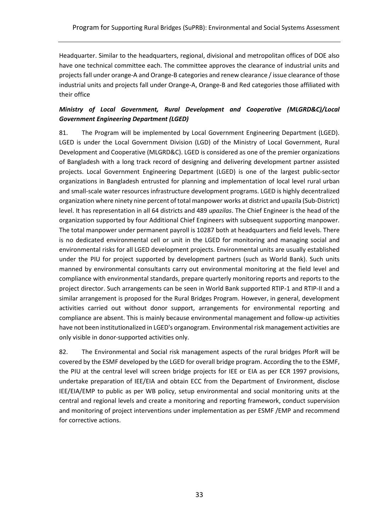Headquarter. Similar to the headquarters, regional, divisional and metropolitan offices of DOE also have one technical committee each. The committee approves the clearance of industrial units and projects fall under orange-A and Orange-B categories and renew clearance / issue clearance of those industrial units and projects fall under Orange-A, Orange-B and Red categories those affiliated with their office

# *Ministry of Local Government, Rural Development and Cooperative (MLGRD&C)/Local Government Engineering Department (LGED)*

81. The Program will be implemented by Local Government Engineering Department (LGED). LGED is under the Local Government Division (LGD) of the Ministry of Local Government, Rural Development and Cooperative (MLGRD&C). LGED is considered as one of the premier organizations of Bangladesh with a long track record of designing and delivering development partner assisted projects. Local Government Engineering Department (LGED) is one of the largest public-sector organizations in Bangladesh entrusted for planning and implementation of local level rural urban and small-scale water resources infrastructure development programs. LGED is highly decentralized organization where ninety nine percent of total manpower works at district and upazila (Sub-District) level. It has representation in all 64 districts and 489 *upazilas*. The Chief Engineer is the head of the organization supported by four Additional Chief Engineers with subsequent supporting manpower. The total manpower under permanent payroll is 10287 both at headquarters and field levels. There is no dedicated environmental cell or unit in the LGED for monitoring and managing social and environmental risks for all LGED development projects. Environmental units are usually established under the PIU for project supported by development partners (such as World Bank). Such units manned by environmental consultants carry out environmental monitoring at the field level and compliance with environmental standards, prepare quarterly monitoring reports and reports to the project director. Such arrangements can be seen in World Bank supported RTIP-1 and RTIP-II and a similar arrangement is proposed for the Rural Bridges Program. However, in general, development activities carried out without donor support, arrangements for environmental reporting and compliance are absent. This is mainly because environmental management and follow-up activities have not been institutionalized in LGED's organogram. Environmental risk management activities are only visible in donor-supported activities only.

82. The Environmental and Social risk management aspects of the rural bridges PforR will be covered by the ESMF developed by the LGED for overall bridge program. According the to the ESMF, the PIU at the central level will screen bridge projects for IEE or EIA as per ECR 1997 provisions, undertake preparation of IEE/EIA and obtain ECC from the Department of Environment, disclose IEE/EIA/EMP to public as per WB policy, setup environmental and social monitoring units at the central and regional levels and create a monitoring and reporting framework, conduct supervision and monitoring of project interventions under implementation as per ESMF /EMP and recommend for corrective actions.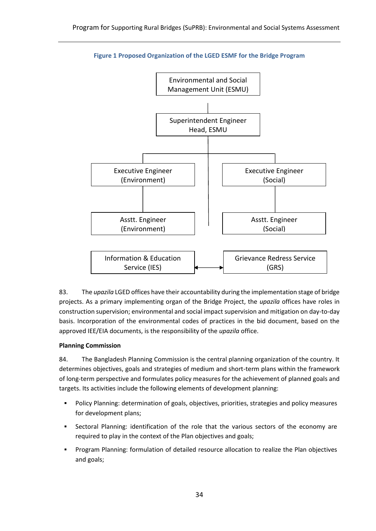<span id="page-36-0"></span>

## **Figure 1 Proposed Organization of the LGED ESMF for the Bridge Program**

83. The *upazila* LGED offices have their accountability during the implementation stage of bridge projects. As a primary implementing organ of the Bridge Project, the *upazila* offices have roles in construction supervision; environmental and social impact supervision and mitigation on day-to-day basis. Incorporation of the environmental codes of practices in the bid document, based on the approved IEE/EIA documents, is the responsibility of the *upazila* office.

# **Planning Commission**

84. The Bangladesh Planning Commission is the central planning organization of the country. It determines objectives, goals and strategies of medium and short-term plans within the framework of long-term perspective and formulates policy measures for the achievement of planned goals and targets. Its activities include the following elements of development planning:

- Policy Planning: determination of goals, objectives, priorities, strategies and policy measures for development plans;
- **•** Sectoral Planning: identification of the role that the various sectors of the economy are required to play in the context of the Plan objectives and goals;
- Program Planning: formulation of detailed resource allocation to realize the Plan objectives and goals;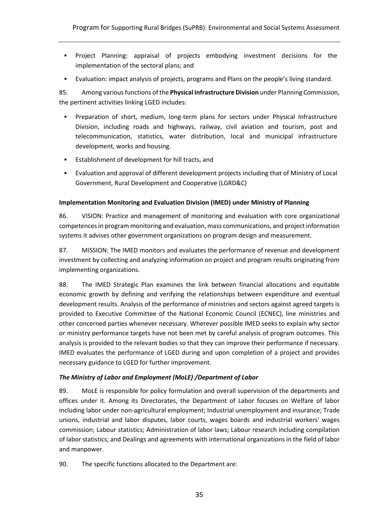- Project Planning: appraisal of projects embodying investment decisions for the implementation of the sectoral plans; and
- Evaluation: impact analysis of projects, programs and Plans on the people's living standard.

85. Among variousfunctions of the **Physical Infrastructure Division** under Planning Commission, the pertinent activities linking LGED includes:

- Preparation of short, medium, long-term plans for sectors under Physical Infrastructure Division, including roads and highways, railway, civil aviation and tourism, post and telecommunication, statistics, water distribution, local and municipal infrastructure development, works and housing.
- Establishment of development for hill tracts, and
- Evaluation and approval of different development projects including that of Ministry of Local Government, Rural Development and Cooperative (LGRD&C)

#### **Implementation Monitoring and Evaluation Division (IMED) under Ministry of Planning**

86. VISION: Practice and management of monitoring and evaluation with core organizational competences in program monitoring and evaluation, mass communications, and project information systems it advises other government organizations on program design and measurement.

87. MISSION: The IMED monitors and evaluates the performance of revenue and development investment by collecting and analyzing information on project and program results originating from implementing organizations.

88. The IMED Strategic Plan examines the link between financial allocations and equitable economic growth by defining and verifying the relationships between expenditure and eventual development results. Analysis of the performance of ministries and sectors against agreed targets is provided to Executive Committee of the National Economic Council (ECNEC), line ministries and other concerned parties whenever necessary. Wherever possible IMED seeks to explain why sector or ministry performance targets have not been met by careful analysis of program outcomes. This analysis is provided to the relevant bodies so that they can improve their performance if necessary. IMED evaluates the performance of LGED during and upon completion of a project and provides necessary guidance to LGED for further improvement.

#### *The Ministry of Labor and Employment (MoLE) /Department of Labor*

89. MoLE is responsible for policy formulation and overall supervision of the departments and offices under it. Among its Directorates, the Department of Labor focuses on Welfare of labor including labor under non-agricultural employment; Industrial unemployment and insurance; Trade unions, industrial and labor disputes, labor courts, wages boards and industrial workers' wages commission; Labour statistics; Administration of labor laws; Labour research including compilation of labor statistics; and Dealings and agreements with international organizations in the field of labor and manpower.

90. The specific functions allocated to the Department are: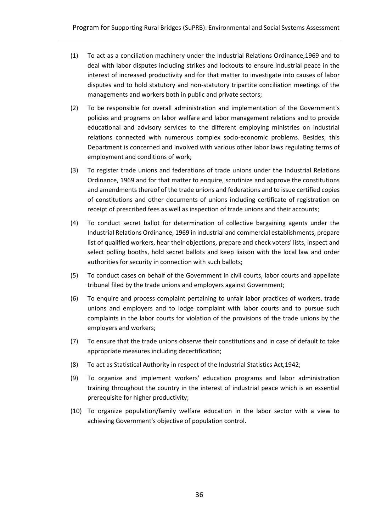- (1) To act as a conciliation machinery under the Industrial Relations Ordinance,1969 and to deal with labor disputes including strikes and lockouts to ensure industrial peace in the interest of increased productivity and for that matter to investigate into causes of labor disputes and to hold statutory and non-statutory tripartite conciliation meetings of the managements and workers both in public and private sectors;
- (2) To be responsible for overall administration and implementation of the Government's policies and programs on labor welfare and labor management relations and to provide educational and advisory services to the different employing ministries on industrial relations connected with numerous complex socio-economic problems. Besides, this Department is concerned and involved with various other labor laws regulating terms of employment and conditions of work;
- (3) To register trade unions and federations of trade unions under the Industrial Relations Ordinance, 1969 and for that matter to enquire, scrutinize and approve the constitutions and amendments thereof of the trade unions and federations and to issue certified copies of constitutions and other documents of unions including certificate of registration on receipt of prescribed fees as well as inspection of trade unions and their accounts;
- (4) To conduct secret ballot for determination of collective bargaining agents under the Industrial Relations Ordinance, 1969 in industrial and commercial establishments, prepare list of qualified workers, hear their objections, prepare and check voters' lists, inspect and select polling booths, hold secret ballots and keep liaison with the local law and order authorities for security in connection with such ballots;
- (5) To conduct cases on behalf of the Government in civil courts, labor courts and appellate tribunal filed by the trade unions and employers against Government;
- (6) To enquire and process complaint pertaining to unfair labor practices of workers, trade unions and employers and to lodge complaint with labor courts and to pursue such complaints in the labor courts for violation of the provisions of the trade unions by the employers and workers;
- (7) To ensure that the trade unions observe their constitutions and in case of default to take appropriate measures including decertification;
- (8) To act as Statistical Authority in respect of the Industrial Statistics Act,1942;
- (9) To organize and implement workers' education programs and labor administration training throughout the country in the interest of industrial peace which is an essential prerequisite for higher productivity;
- (10) To organize population/family welfare education in the labor sector with a view to achieving Government's objective of population control.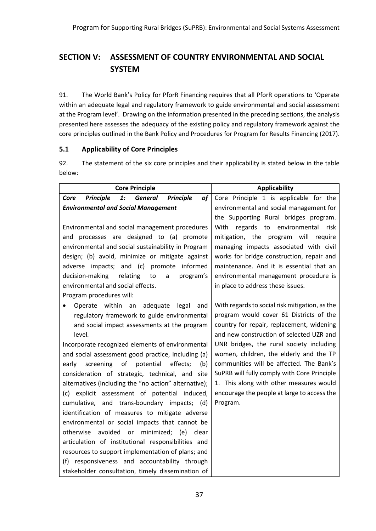# <span id="page-39-0"></span>**SECTION V: ASSESSMENT OF COUNTRY ENVIRONMENTAL AND SOCIAL SYSTEM**

91. The World Bank's Policy for PforR Financing requires that all PforR operations to 'Operate within an adequate legal and regulatory framework to guide environmental and social assessment at the Program level'. Drawing on the information presented in the preceding sections, the analysis presented here assesses the adequacy of the existing policy and regulatory framework against the core principles outlined in the Bank Policy and Procedures for Program for Results Financing (2017).

# <span id="page-39-1"></span>**5.1 Applicability of Core Principles**

92. The statement of the six core principles and their applicability is stated below in the table below:

| <b>Core Principle</b>                                                                  | <b>Applicability</b>                           |  |
|----------------------------------------------------------------------------------------|------------------------------------------------|--|
| <b>Principle</b><br><b>Principle</b><br>$\mathbf{1}$ :<br><b>General</b><br>of<br>Core | Core Principle 1 is applicable for the         |  |
| <b>Environmental and Social Management</b>                                             | environmental and social management for        |  |
|                                                                                        | the Supporting Rural bridges program.          |  |
| Environmental and social management procedures                                         | regards to environmental<br>With<br>risk       |  |
| and processes are designed to (a) promote                                              | mitigation, the program will require           |  |
| environmental and social sustainability in Program                                     | managing impacts associated with civil         |  |
| design; (b) avoid, minimize or mitigate against                                        | works for bridge construction, repair and      |  |
| adverse impacts; and (c) promote<br>informed                                           | maintenance. And it is essential that an       |  |
| program's<br>decision-making<br>relating<br>to<br>a                                    | environmental management procedure is          |  |
| environmental and social effects.                                                      | in place to address these issues.              |  |
| Program procedures will:                                                               |                                                |  |
| Operate within<br>an<br>adequate<br>legal<br>and                                       | With regards to social risk mitigation, as the |  |
| regulatory framework to guide environmental                                            | program would cover 61 Districts of the        |  |
| and social impact assessments at the program                                           | country for repair, replacement, widening      |  |
| level.                                                                                 | and new construction of selected UZR and       |  |
| Incorporate recognized elements of environmental                                       | UNR bridges, the rural society including       |  |
| and social assessment good practice, including (a)                                     | women, children, the elderly and the TP        |  |
| of<br>potential<br>effects;<br>screening<br>(b)<br>early                               | communities will be affected. The Bank's       |  |
| consideration of strategic, technical, and site                                        | SuPRB will fully comply with Core Principle    |  |
| alternatives (including the "no action" alternative);                                  | 1. This along with other measures would        |  |
| (c) explicit assessment of potential induced,                                          | encourage the people at large to access the    |  |
| cumulative, and trans-boundary impacts; (d)                                            | Program.                                       |  |
| identification of measures to mitigate adverse                                         |                                                |  |
| environmental or social impacts that cannot be                                         |                                                |  |
| otherwise avoided or minimized; (e) clear                                              |                                                |  |
| articulation of institutional responsibilities and                                     |                                                |  |
| resources to support implementation of plans; and                                      |                                                |  |
| responsiveness and accountability through<br>(f)                                       |                                                |  |
| stakeholder consultation, timely dissemination of                                      |                                                |  |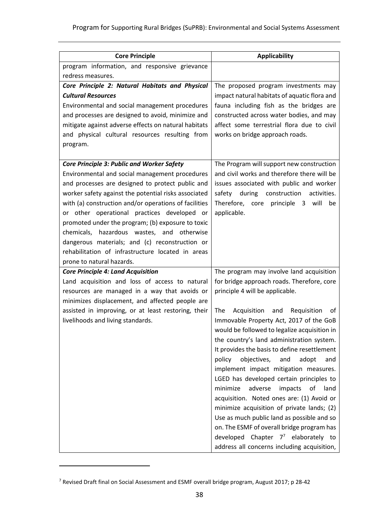| <b>Core Principle</b>                                                                               | <b>Applicability</b>                            |
|-----------------------------------------------------------------------------------------------------|-------------------------------------------------|
| program information, and responsive grievance                                                       |                                                 |
| redress measures.                                                                                   |                                                 |
| Core Principle 2: Natural Habitats and Physical                                                     | The proposed program investments may            |
| <b>Cultural Resources</b>                                                                           | impact natural habitats of aquatic flora and    |
| Environmental and social management procedures                                                      | fauna including fish as the bridges are         |
| and processes are designed to avoid, minimize and                                                   | constructed across water bodies, and may        |
| mitigate against adverse effects on natural habitats                                                | affect some terrestrial flora due to civil      |
| and physical cultural resources resulting from                                                      | works on bridge approach roads.                 |
| program.                                                                                            |                                                 |
|                                                                                                     |                                                 |
| <b>Core Principle 3: Public and Worker Safety</b>                                                   | The Program will support new construction       |
| Environmental and social management procedures                                                      | and civil works and therefore there will be     |
| and processes are designed to protect public and                                                    | issues associated with public and worker        |
| worker safety against the potential risks associated                                                | during<br>construction<br>activities.<br>safety |
| with (a) construction and/or operations of facilities                                               | Therefore, core principle 3 will<br>be          |
| or other operational practices developed or                                                         | applicable.                                     |
| promoted under the program; (b) exposure to toxic                                                   |                                                 |
| chemicals, hazardous wastes, and otherwise                                                          |                                                 |
| dangerous materials; and (c) reconstruction or<br>rehabilitation of infrastructure located in areas |                                                 |
| prone to natural hazards.                                                                           |                                                 |
| <b>Core Principle 4: Land Acquisition</b>                                                           | The program may involve land acquisition        |
| Land acquisition and loss of access to natural                                                      | for bridge approach roads. Therefore, core      |
| resources are managed in a way that avoids or                                                       | principle 4 will be applicable.                 |
| minimizes displacement, and affected people are                                                     |                                                 |
| assisted in improving, or at least restoring, their                                                 | Acquisition<br>Requisition<br>The<br>and<br>of  |
| livelihoods and living standards.                                                                   | Immovable Property Act, 2017 of the GoB         |
|                                                                                                     | would be followed to legalize acquisition in    |
|                                                                                                     | the country's land administration system.       |
|                                                                                                     | It provides the basis to define resettlement    |
|                                                                                                     | policy<br>objectives,<br>and<br>adopt<br>and    |
|                                                                                                     | implement impact mitigation measures.           |
|                                                                                                     | LGED has developed certain principles to        |
|                                                                                                     | adverse<br>minimize<br>impacts<br>of<br>land    |
|                                                                                                     | acquisition. Noted ones are: (1) Avoid or       |
|                                                                                                     | minimize acquisition of private lands; (2)      |
|                                                                                                     | Use as much public land as possible and so      |
|                                                                                                     | on. The ESMF of overall bridge program has      |
|                                                                                                     | developed Chapter $7^7$ elaborately to          |
|                                                                                                     | address all concerns including acquisition,     |

<sup>7</sup> Revised Draft final on Social Assessment and ESMF overall bridge program, August 2017; p 28-42

 $\overline{\phantom{0}}$ 

 $\overline{a}$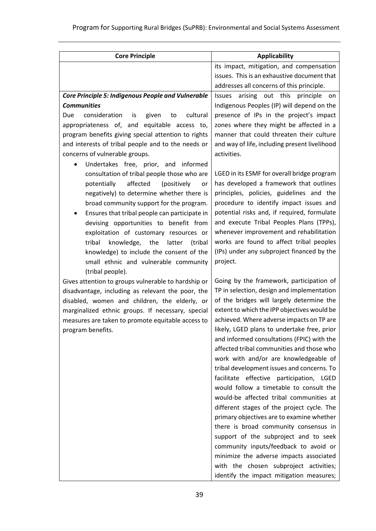| <b>Core Principle</b>                                     | <b>Applicability</b>                                                                    |
|-----------------------------------------------------------|-----------------------------------------------------------------------------------------|
|                                                           | its impact, mitigation, and compensation                                                |
|                                                           | issues. This is an exhaustive document that                                             |
|                                                           | addresses all concerns of this principle.                                               |
| <b>Core Principle 5: Indigenous People and Vulnerable</b> | Issues arising out this principle<br>on                                                 |
| <b>Communities</b>                                        | Indigenous Peoples (IP) will depend on the                                              |
| cultural<br>consideration<br>given<br>Due<br>is<br>to     | presence of IPs in the project's impact                                                 |
| appropriateness of, and equitable access to,              | zones where they might be affected in a                                                 |
| program benefits giving special attention to rights       | manner that could threaten their culture                                                |
| and interests of tribal people and to the needs or        | and way of life, including present livelihood                                           |
| concerns of vulnerable groups.                            | activities.                                                                             |
| Undertakes free, prior, and informed                      |                                                                                         |
| consultation of tribal people those who are               | LGED in its ESMF for overall bridge program                                             |
| affected<br>potentially<br>(positively<br>or              | has developed a framework that outlines                                                 |
| negatively) to determine whether there is                 | principles, policies, guidelines and the                                                |
| broad community support for the program.                  | procedure to identify impact issues and                                                 |
| Ensures that tribal people can participate in             | potential risks and, if required, formulate                                             |
| devising opportunities to benefit from                    | and execute Tribal Peoples Plans (TPPs),                                                |
| exploitation of customary resources or                    | whenever improvement and rehabilitation                                                 |
| knowledge, the<br>tribal<br>latter<br>(tribal             | works are found to affect tribal peoples                                                |
| knowledge) to include the consent of the                  | (IPs) under any subproject financed by the                                              |
| small ethnic and vulnerable community                     | project.                                                                                |
| (tribal people).                                          |                                                                                         |
| Gives attention to groups vulnerable to hardship or       | Going by the framework, participation of                                                |
| disadvantage, including as relevant the poor, the         | TP in selection, design and implementation                                              |
| disabled, women and children, the elderly, or             | of the bridges will largely determine the                                               |
| marginalized ethnic groups. If necessary, special         | extent to which the IPP objectives would be                                             |
| measures are taken to promote equitable access to         | achieved. Where adverse impacts on TP are                                               |
| program benefits.                                         | likely, LGED plans to undertake free, prior                                             |
|                                                           | and informed consultations (FPIC) with the<br>affected tribal communities and those who |
|                                                           | work with and/or are knowledgeable of                                                   |
|                                                           | tribal development issues and concerns. To                                              |
|                                                           | facilitate effective participation, LGED                                                |
|                                                           | would follow a timetable to consult the                                                 |
|                                                           | would-be affected tribal communities at                                                 |
|                                                           | different stages of the project cycle. The                                              |
|                                                           | primary objectives are to examine whether                                               |
|                                                           | there is broad community consensus in                                                   |
|                                                           | support of the subproject and to seek                                                   |
|                                                           | community inputs/feedback to avoid or                                                   |
|                                                           | minimize the adverse impacts associated                                                 |
|                                                           | with the chosen subproject activities;                                                  |
|                                                           | identify the impact mitigation measures;                                                |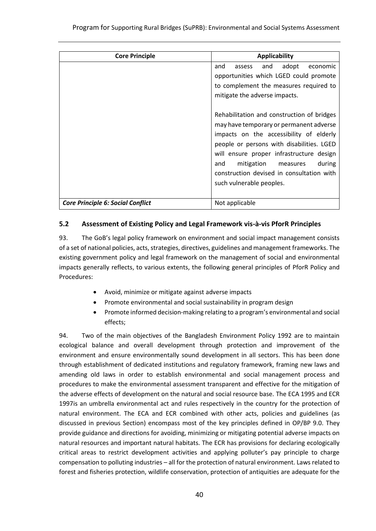| <b>Core Principle</b>                    | <b>Applicability</b>                                                                                                                                                                                                                                                                         |
|------------------------------------------|----------------------------------------------------------------------------------------------------------------------------------------------------------------------------------------------------------------------------------------------------------------------------------------------|
|                                          | adopt<br>and<br>and<br>economic<br>assess<br>opportunities which LGED could promote<br>to complement the measures required to<br>mitigate the adverse impacts.<br>Rehabilitation and construction of bridges                                                                                 |
|                                          | may have temporary or permanent adverse<br>impacts on the accessibility of elderly<br>people or persons with disabilities. LGED<br>will ensure proper infrastructure design<br>during<br>mitigation measures<br>and<br>construction devised in consultation with<br>such vulnerable peoples. |
| <b>Core Principle 6: Social Conflict</b> | Not applicable                                                                                                                                                                                                                                                                               |

## <span id="page-42-0"></span>**5.2 Assessment of Existing Policy and Legal Framework vis-à-vis PforR Principles**

93. The GoB's legal policy framework on environment and social impact management consists of a set of national policies, acts, strategies, directives, guidelines and management frameworks. The existing government policy and legal framework on the management of social and environmental impacts generally reflects, to various extents, the following general principles of PforR Policy and Procedures:

- Avoid, minimize or mitigate against adverse impacts
- Promote environmental and social sustainability in program design
- Promote informed decision-making relating to a program's environmental and social effects;

94. Two of the main objectives of the Bangladesh Environment Policy 1992 are to maintain ecological balance and overall development through protection and improvement of the environment and ensure environmentally sound development in all sectors. This has been done through establishment of dedicated institutions and regulatory framework, framing new laws and amending old laws in order to establish environmental and social management process and procedures to make the environmental assessment transparent and effective for the mitigation of the adverse effects of development on the natural and social resource base. The ECA 1995 and ECR 1997is an umbrella environmental act and rules respectively in the country for the protection of natural environment. The ECA and ECR combined with other acts, policies and guidelines (as discussed in previous Section) encompass most of the key principles defined in OP/BP 9.0. They provide guidance and directions for avoiding, minimizing or mitigating potential adverse impacts on natural resources and important natural habitats. The ECR has provisions for declaring ecologically critical areas to restrict development activities and applying polluter's pay principle to charge compensation to polluting industries – all for the protection of natural environment. Laws related to forest and fisheries protection, wildlife conservation, protection of antiquities are adequate for the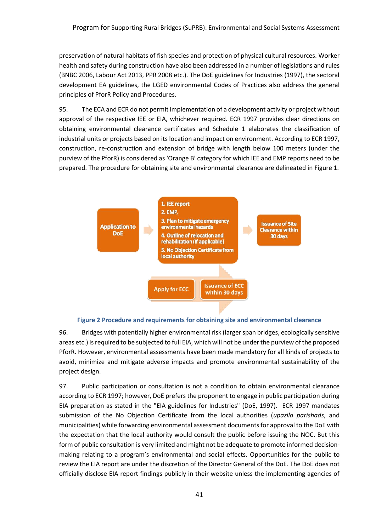preservation of natural habitats of fish species and protection of physical cultural resources. Worker health and safety during construction have also been addressed in a number of legislations and rules (BNBC 2006, Labour Act 2013, PPR 2008 etc.). The DoE guidelines for Industries (1997), the sectoral development EA guidelines, the LGED environmental Codes of Practices also address the general principles of PforR Policy and Procedures.

95. The ECA and ECR do not permit implementation of a development activity or project without approval of the respective IEE or EIA, whichever required. ECR 1997 provides clear directions on obtaining environmental clearance certificates and Schedule 1 elaborates the classification of industrial units or projects based on its location and impact on environment. According to ECR 1997, construction, re-construction and extension of bridge with length below 100 meters (under the purview of the PforR) is considered as 'Orange B' category for which IEE and EMP reports need to be prepared. The procedure for obtaining site and environmental clearance are delineated in Figure 1.





<span id="page-43-0"></span>96. Bridges with potentially higher environmental risk (larger span bridges, ecologically sensitive areas etc.) is required to be subjected to full EIA, which will not be under the purview of the proposed PforR. However, environmental assessments have been made mandatory for all kinds of projects to avoid, minimize and mitigate adverse impacts and promote environmental sustainability of the project design.

97. Public participation or consultation is not a condition to obtain environmental clearance according to ECR 1997; however, DoE prefers the proponent to engage in public participation during EIA preparation as stated in the "EIA guidelines for Industries" (DoE, 1997). ECR 1997 mandates submission of the No Objection Certificate from the local authorities (*upazila parishads*, and municipalities) while forwarding environmental assessment documents for approval to the DoE with the expectation that the local authority would consult the public before issuing the NOC. But this form of public consultation is very limited and might not be adequate to promote informed decisionmaking relating to a program's environmental and social effects. Opportunities for the public to review the EIA report are under the discretion of the Director General of the DoE. The DoE does not officially disclose EIA report findings publicly in their website unless the implementing agencies of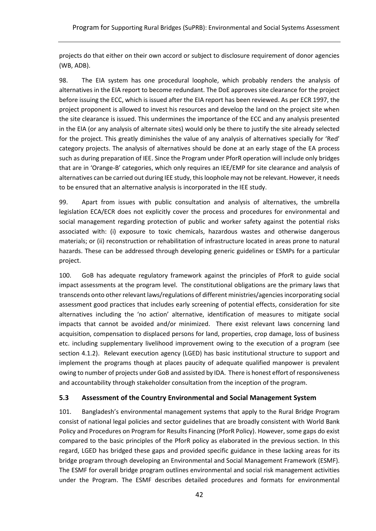projects do that either on their own accord or subject to disclosure requirement of donor agencies (WB, ADB).

98. The EIA system has one procedural loophole, which probably renders the analysis of alternatives in the EIA report to become redundant. The DoE approves site clearance for the project before issuing the ECC, which is issued after the EIA report has been reviewed. As per ECR 1997, the project proponent is allowed to invest his resources and develop the land on the project site when the site clearance is issued. This undermines the importance of the ECC and any analysis presented in the EIA (or any analysis of alternate sites) would only be there to justify the site already selected for the project. This greatly diminishes the value of any analysis of alternatives specially for 'Red' category projects. The analysis of alternatives should be done at an early stage of the EA process such as during preparation of IEE. Since the Program under PforR operation will include only bridges that are in 'Orange-B' categories, which only requires an IEE/EMP for site clearance and analysis of alternatives can be carried out during IEE study, this loophole may not be relevant. However, it needs to be ensured that an alternative analysis is incorporated in the IEE study.

99. Apart from issues with public consultation and analysis of alternatives, the umbrella legislation ECA/ECR does not explicitly cover the process and procedures for environmental and social management regarding protection of public and worker safety against the potential risks associated with: (i) exposure to toxic chemicals, hazardous wastes and otherwise dangerous materials; or (ii) reconstruction or rehabilitation of infrastructure located in areas prone to natural hazards. These can be addressed through developing generic guidelines or ESMPs for a particular project.

100. GoB has adequate regulatory framework against the principles of PforR to guide social impact assessments at the program level. The constitutional obligations are the primary laws that transcends onto other relevant laws/regulations of different ministries/agencies incorporating social assessment good practices that includes early screening of potential effects, consideration for site alternatives including the 'no action' alternative, identification of measures to mitigate social impacts that cannot be avoided and/or minimized. There exist relevant laws concerning land acquisition, compensation to displaced persons for land, properties, crop damage, loss of business etc. including supplementary livelihood improvement owing to the execution of a program (see section 4.1.2). Relevant execution agency (LGED) has basic institutional structure to support and implement the programs though at places paucity of adequate qualified manpower is prevalent owing to number of projects under GoB and assisted by IDA. There is honest effort of responsiveness and accountability through stakeholder consultation from the inception of the program.

#### <span id="page-44-0"></span>**5.3 Assessment of the Country Environmental and Social Management System**

101. Bangladesh's environmental management systems that apply to the Rural Bridge Program consist of national legal policies and sector guidelines that are broadly consistent with World Bank Policy and Procedures on Program for Results Financing (PforR Policy). However, some gaps do exist compared to the basic principles of the PforR policy as elaborated in the previous section. In this regard, LGED has bridged these gaps and provided specific guidance in these lacking areas for its bridge program through developing an Environmental and Social Management Framework (ESMF). The ESMF for overall bridge program outlines environmental and social risk management activities under the Program. The ESMF describes detailed procedures and formats for environmental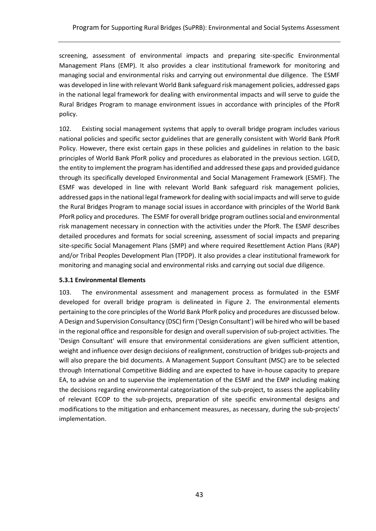screening, assessment of environmental impacts and preparing site-specific Environmental Management Plans (EMP). It also provides a clear institutional framework for monitoring and managing social and environmental risks and carrying out environmental due diligence. The ESMF was developed in line with relevant World Bank safeguard risk management policies, addressed gaps in the national legal framework for dealing with environmental impacts and will serve to guide the Rural Bridges Program to manage environment issues in accordance with principles of the PforR policy.

102. Existing social management systems that apply to overall bridge program includes various national policies and specific sector guidelines that are generally consistent with World Bank PforR Policy. However, there exist certain gaps in these policies and guidelines in relation to the basic principles of World Bank PforR policy and procedures as elaborated in the previous section. LGED, the entity to implement the program has identified and addressed these gaps and provided guidance through its specifically developed Environmental and Social Management Framework (ESMF). The ESMF was developed in line with relevant World Bank safeguard risk management policies, addressed gaps in the national legal framework for dealing with social impacts and will serve to guide the Rural Bridges Program to manage social issues in accordance with principles of the World Bank PforR policy and procedures. The ESMF for overall bridge program outlines social and environmental risk management necessary in connection with the activities under the PforR. The ESMF describes detailed procedures and formats for social screening, assessment of social impacts and preparing site-specific Social Management Plans (SMP) and where required Resettlement Action Plans (RAP) and/or Tribal Peoples Development Plan (TPDP). It also provides a clear institutional framework for monitoring and managing social and environmental risks and carrying out social due diligence.

#### <span id="page-45-0"></span>**5.3.1 Environmental Elements**

103. The environmental assessment and management process as formulated in the ESMF developed for overall bridge program is delineated in Figure 2. The environmental elements pertaining to the core principles of the World Bank PforR policy and procedures are discussed below. A Design and Supervision Consultancy (DSC) firm ('Design Consultant') will be hired who will be based in the regional office and responsible for design and overall supervision of sub-project activities. The 'Design Consultant' will ensure that environmental considerations are given sufficient attention, weight and influence over design decisions of realignment, construction of bridges sub-projects and will also prepare the bid documents. A Management Support Consultant (MSC) are to be selected through International Competitive Bidding and are expected to have in-house capacity to prepare EA, to advise on and to supervise the implementation of the ESMF and the EMP including making the decisions regarding environmental categorization of the sub-project, to assess the applicability of relevant ECOP to the sub-projects, preparation of site specific environmental designs and modifications to the mitigation and enhancement measures, as necessary, during the sub-projects' implementation.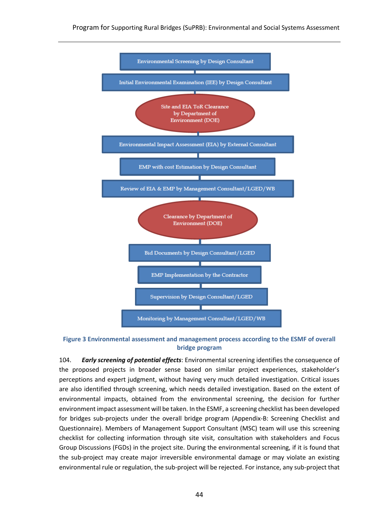

<span id="page-46-0"></span>**Figure 3 Environmental assessment and management process according to the ESMF of overall bridge program**

104. *Early screening of potential effects*: Environmental screening identifies the consequence of the proposed projects in broader sense based on similar project experiences, stakeholder's perceptions and expert judgment, without having very much detailed investigation. Critical issues are also identified through screening, which needs detailed investigation. Based on the extent of environmental impacts, obtained from the environmental screening, the decision for further environment impact assessment will be taken. In the ESMF, a screening checklist has been developed for bridges sub-projects under the overall bridge program (Appendix-B: Screening Checklist and Questionnaire). Members of Management Support Consultant (MSC) team will use this screening checklist for collecting information through site visit, consultation with stakeholders and Focus Group Discussions (FGDs) in the project site. During the environmental screening, if it is found that the sub-project may create major irreversible environmental damage or may violate an existing environmental rule or regulation, the sub-project will be rejected. For instance, any sub-project that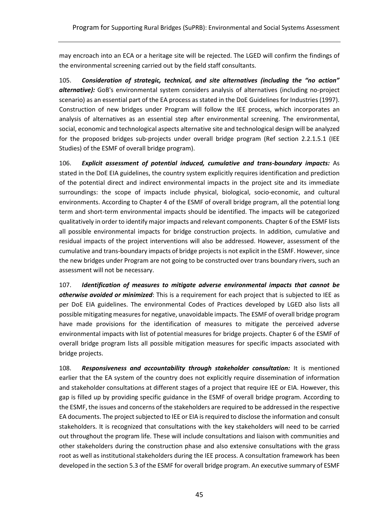may encroach into an ECA or a heritage site will be rejected. The LGED will confirm the findings of the environmental screening carried out by the field staff consultants.

105. *Consideration of strategic, technical, and site alternatives (including the "no action" alternative):* GoB's environmental system considers analysis of alternatives (including no-project scenario) as an essential part of the EA process as stated in the DoE Guidelines for Industries (1997). Construction of new bridges under Program will follow the IEE process, which incorporates an analysis of alternatives as an essential step after environmental screening. The environmental, social, economic and technological aspects alternative site and technological design will be analyzed for the proposed bridges sub-projects under overall bridge program (Ref section 2.2.1.5.1 (IEE Studies) of the ESMF of overall bridge program).

106. *Explicit assessment of potential induced, cumulative and trans-boundary impacts:* As stated in the DoE EIA guidelines, the country system explicitly requires identification and prediction of the potential direct and indirect environmental impacts in the project site and its immediate surroundings: the scope of impacts include physical, biological, socio-economic, and cultural environments. According to Chapter 4 of the ESMF of overall bridge program, all the potential long term and short-term environmental impacts should be identified. The impacts will be categorized qualitatively in order to identify major impacts and relevant components. Chapter 6 of the ESMF lists all possible environmental impacts for bridge construction projects. In addition, cumulative and residual impacts of the project interventions will also be addressed. However, assessment of the cumulative and trans-boundary impacts of bridge projects is not explicit in the ESMF. However, since the new bridges under Program are not going to be constructed over trans boundary rivers, such an assessment will not be necessary.

107. *Identification of measures to mitigate adverse environmental impacts that cannot be otherwise avoided or minimized*: This is a requirement for each project that is subjected to IEE as per DoE EIA guidelines. The environmental Codes of Practices developed by LGED also lists all possible mitigating measures for negative, unavoidable impacts. The ESMF of overall bridge program have made provisions for the identification of measures to mitigate the perceived adverse environmental impacts with list of potential measures for bridge projects. Chapter 6 of the ESMF of overall bridge program lists all possible mitigation measures for specific impacts associated with bridge projects.

108. *Responsiveness and accountability through stakeholder consultation:* It is mentioned earlier that the EA system of the country does not explicitly require dissemination of information and stakeholder consultations at different stages of a project that require IEE or EIA. However, this gap is filled up by providing specific guidance in the ESMF of overall bridge program. According to the ESMF, the issues and concerns of the stakeholders are required to be addressed in the respective EA documents. The project subjected to IEE or EIA is required to disclose the information and consult stakeholders. It is recognized that consultations with the key stakeholders will need to be carried out throughout the program life. These will include consultations and liaison with communities and other stakeholders during the construction phase and also extensive consultations with the grass root as well as institutional stakeholders during the IEE process. A consultation framework has been developed in the section 5.3 of the ESMF for overall bridge program. An executive summary of ESMF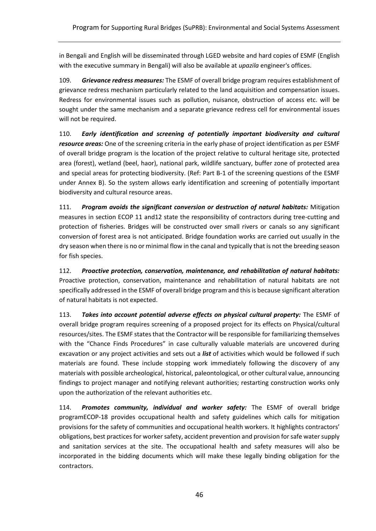in Bengali and English will be disseminated through LGED website and hard copies of ESMF (English with the executive summary in Bengali) will also be available at *upazila* engineer's offices.

109. *Grievance redress measures:* The ESMF of overall bridge program requires establishment of grievance redress mechanism particularly related to the land acquisition and compensation issues. Redress for environmental issues such as pollution, nuisance, obstruction of access etc. will be sought under the same mechanism and a separate grievance redress cell for environmental issues will not be required.

110. *Early identification and screening of potentially important biodiversity and cultural resource areas:* One of the screening criteria in the early phase of project identification as per ESMF of overall bridge program is the location of the project relative to cultural heritage site, protected area (forest), wetland (beel, haor), national park, wildlife sanctuary, buffer zone of protected area and special areas for protecting biodiversity. (Ref: Part B-1 of the screening questions of the ESMF under Annex B). So the system allows early identification and screening of potentially important biodiversity and cultural resource areas.

111. *Program avoids the significant conversion or destruction of natural habitats:* Mitigation measures in section ECOP 11 and12 state the responsibility of contractors during tree-cutting and protection of fisheries. Bridges will be constructed over small rivers or canals so any significant conversion of forest area is not anticipated. Bridge foundation works are carried out usually in the dry season when there is no or minimal flow in the canal and typically that is not the breeding season for fish species.

112. *Proactive protection, conservation, maintenance, and rehabilitation of natural habitats:*  Proactive protection, conservation, maintenance and rehabilitation of natural habitats are not specifically addressed in the ESMF of overall bridge program and this is because significant alteration of natural habitats is not expected.

113. *Takes into account potential adverse effects on physical cultural property:* The ESMF of overall bridge program requires screening of a proposed project for its effects on Physical/cultural resources/sites. The ESMF states that the Contractor will be responsible for familiarizing themselves with the "Chance Finds Procedures" in case culturally valuable materials are uncovered during excavation or any project activities and sets out a *list* of activities which would be followed if such materials are found. These include stopping work immediately following the discovery of any materials with possible archeological, historical, paleontological, or other cultural value, announcing findings to project manager and notifying relevant authorities; restarting construction works only upon the authorization of the relevant authorities etc.

114. *Promotes community, individual and worker safety:* The ESMF of overall bridge programECOP-18 provides occupational health and safety guidelines which calls for mitigation provisions for the safety of communities and occupational health workers. It highlights contractors' obligations, best practices for worker safety, accident prevention and provision for safe water supply and sanitation services at the site. The occupational health and safety measures will also be incorporated in the bidding documents which will make these legally binding obligation for the contractors.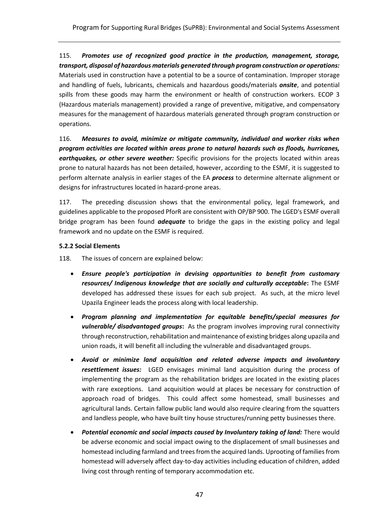115. *Promotes use of recognized good practice in the production, management, storage, transport, disposal of hazardous materials generated through program construction or operations:*  Materials used in construction have a potential to be a source of contamination. Improper storage and handling of fuels, lubricants, chemicals and hazardous goods/materials *onsite*, and potential spills from these goods may harm the environment or health of construction workers. ECOP 3 (Hazardous materials management) provided a range of preventive, mitigative, and compensatory measures for the management of hazardous materials generated through program construction or operations.

116. *Measures to avoid, minimize or mitigate community, individual and worker risks when program activities are located within areas prone to natural hazards such as floods, hurricanes, earthquakes, or other severe weather:* Specific provisions for the projects located within areas prone to natural hazards has not been detailed, however, according to the ESMF, it is suggested to perform alternate analysis in earlier stages of the EA *process* to determine alternate alignment or designs for infrastructures located in hazard-prone areas.

117. The preceding discussion shows that the environmental policy, legal framework, and guidelines applicable to the proposed PforR are consistent with OP/BP 900. The LGED's ESMF overall bridge program has been found *adequate* to bridge the gaps in the existing policy and legal framework and no update on the ESMF is required.

## <span id="page-49-0"></span>**5.2.2 Social Elements**

118. The issues of concern are explained below:

- *Ensure people's participation in devising opportunities to benefit from customary resources/ Indigenous knowledge that are socially and culturally acceptable***:** The ESMF developed has addressed these issues for each sub project. As such, at the micro level Upazila Engineer leads the process along with local leadership.
- *Program planning and implementation for equitable benefits/special measures for vulnerable/ disadvantaged groups***:** As the program involves improving rural connectivity through reconstruction, rehabilitation and maintenance of existing bridges along upazila and union roads, it will benefit all including the vulnerable and disadvantaged groups.
- *Avoid or minimize land acquisition and related adverse impacts and involuntary resettlement issues:* LGED envisages minimal land acquisition during the process of implementing the program as the rehabilitation bridges are located in the existing places with rare exceptions. Land acquisition would at places be necessary for construction of approach road of bridges. This could affect some homestead, small businesses and agricultural lands. Certain fallow public land would also require clearing from the squatters and landless people, who have built tiny house structures/running petty businesses there.
- *Potential economic and social impacts caused by Involuntary taking of land:* There would be adverse economic and social impact owing to the displacement of small businesses and homestead including farmland and trees from the acquired lands. Uprooting of families from homestead will adversely affect day-to-day activities including education of children, added living cost through renting of temporary accommodation etc.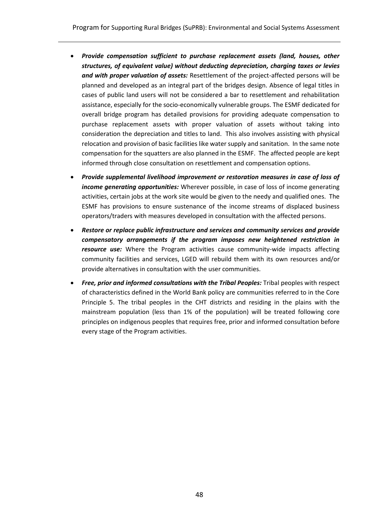- *Provide compensation sufficient to purchase replacement assets (land, houses, other structures, of equivalent value) without deducting depreciation, charging taxes or levies and with proper valuation of assets:* Resettlement of the project-affected persons will be planned and developed as an integral part of the bridges design. Absence of legal titles in cases of public land users will not be considered a bar to resettlement and rehabilitation assistance, especially for the socio-economically vulnerable groups. The ESMF dedicated for overall bridge program has detailed provisions for providing adequate compensation to purchase replacement assets with proper valuation of assets without taking into consideration the depreciation and titles to land. This also involves assisting with physical relocation and provision of basic facilities like water supply and sanitation. In the same note compensation for the squatters are also planned in the ESMF. The affected people are kept informed through close consultation on resettlement and compensation options.
- *Provide supplemental livelihood improvement or restoration measures in case of loss of income generating opportunities:* Wherever possible, in case of loss of income generating activities, certain jobs at the work site would be given to the needy and qualified ones. The ESMF has provisions to ensure sustenance of the income streams of displaced business operators/traders with measures developed in consultation with the affected persons.
- *Restore or replace public infrastructure and services and community services and provide compensatory arrangements if the program imposes new heightened restriction in resource use:* Where the Program activities cause community-wide impacts affecting community facilities and services, LGED will rebuild them with its own resources and/or provide alternatives in consultation with the user communities.
- *Free, prior and informed consultations with the Tribal Peoples:* Tribal peoples with respect of characteristics defined in the World Bank policy are communities referred to in the Core Principle 5. The tribal peoples in the CHT districts and residing in the plains with the mainstream population (less than 1% of the population) will be treated following core principles on indigenous peoples that requires free, prior and informed consultation before every stage of the Program activities.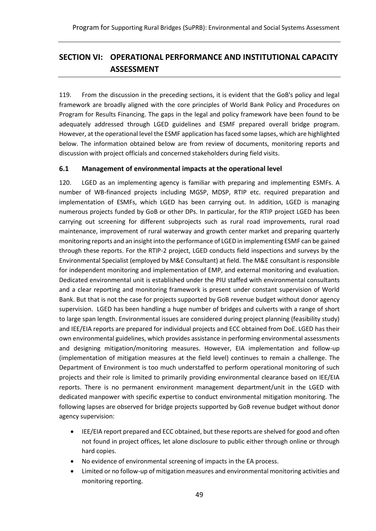# <span id="page-51-0"></span>**SECTION VI: OPERATIONAL PERFORMANCE AND INSTITUTIONAL CAPACITY ASSESSMENT**

119. From the discussion in the preceding sections, it is evident that the GoB's policy and legal framework are broadly aligned with the core principles of World Bank Policy and Procedures on Program for Results Financing. The gaps in the legal and policy framework have been found to be adequately addressed through LGED guidelines and ESMF prepared overall bridge program. However, at the operational level the ESMF application has faced some lapses, which are highlighted below. The information obtained below are from review of documents, monitoring reports and discussion with project officials and concerned stakeholders during field visits.

#### <span id="page-51-1"></span>**6.1 Management of environmental impacts at the operational level**

120. LGED as an implementing agency is familiar with preparing and implementing ESMFs. A number of WB-financed projects including MGSP, MDSP, RTIP etc. required preparation and implementation of ESMFs, which LGED has been carrying out. In addition, LGED is managing numerous projects funded by GoB or other DPs. In particular, for the RTIP project LGED has been carrying out screening for different subprojects such as rural road improvements, rural road maintenance, improvement of rural waterway and growth center market and preparing quarterly monitoring reports and an insight into the performance of LGED in implementing ESMF can be gained through these reports. For the RTIP-2 project, LGED conducts field inspections and surveys by the Environmental Specialist (employed by M&E Consultant) at field. The M&E consultant is responsible for independent monitoring and implementation of EMP, and external monitoring and evaluation. Dedicated environmental unit is established under the PIU staffed with environmental consultants and a clear reporting and monitoring framework is present under constant supervision of World Bank. But that is not the case for projects supported by GoB revenue budget without donor agency supervision. LGED has been handling a huge number of bridges and culverts with a range of short to large span length. Environmental issues are considered during project planning (feasibility study) and IEE/EIA reports are prepared for individual projects and ECC obtained from DoE. LGED has their own environmental guidelines, which provides assistance in performing environmental assessments and designing mitigation/monitoring measures. However, EIA implementation and follow-up (implementation of mitigation measures at the field level) continues to remain a challenge. The Department of Environment is too much understaffed to perform operational monitoring of such projects and their role is limited to primarily providing environmental clearance based on IEE/EIA reports. There is no permanent environment management department/unit in the LGED with dedicated manpower with specific expertise to conduct environmental mitigation monitoring. The following lapses are observed for bridge projects supported by GoB revenue budget without donor agency supervision:

- IEE/EIA report prepared and ECC obtained, but these reports are shelved for good and often not found in project offices, let alone disclosure to public either through online or through hard copies.
- No evidence of environmental screening of impacts in the EA process.
- Limited or no follow-up of mitigation measures and environmental monitoring activities and monitoring reporting.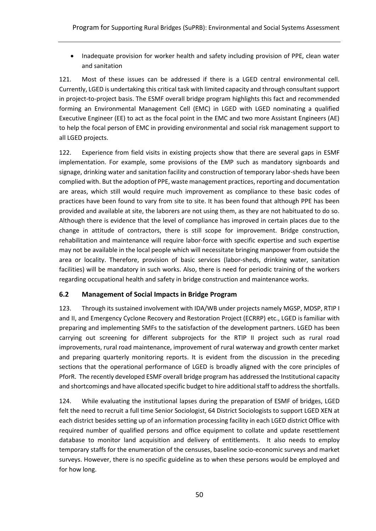• Inadequate provision for worker health and safety including provision of PPE, clean water and sanitation

121. Most of these issues can be addressed if there is a LGED central environmental cell. Currently, LGED is undertaking this critical task with limited capacity and through consultant support in project-to-project basis. The ESMF overall bridge program highlights this fact and recommended forming an Environmental Management Cell (EMC) in LGED with LGED nominating a qualified Executive Engineer (EE) to act as the focal point in the EMC and two more Assistant Engineers (AE) to help the focal person of EMC in providing environmental and social risk management support to all LGED projects.

122. Experience from field visits in existing projects show that there are several gaps in ESMF implementation. For example, some provisions of the EMP such as mandatory signboards and signage, drinking water and sanitation facility and construction of temporary labor-sheds have been complied with. But the adoption of PPE, waste management practices, reporting and documentation are areas, which still would require much improvement as compliance to these basic codes of practices have been found to vary from site to site. It has been found that although PPE has been provided and available at site, the laborers are not using them, as they are not habituated to do so. Although there is evidence that the level of compliance has improved in certain places due to the change in attitude of contractors, there is still scope for improvement. Bridge construction, rehabilitation and maintenance will require labor-force with specific expertise and such expertise may not be available in the local people which will necessitate bringing manpower from outside the area or locality. Therefore, provision of basic services (labor-sheds, drinking water, sanitation facilities) will be mandatory in such works. Also, there is need for periodic training of the workers regarding occupational health and safety in bridge construction and maintenance works.

# <span id="page-52-0"></span>**6.2 Management of Social Impacts in Bridge Program**

123. Through its sustained involvement with IDA/WB under projects namely MGSP, MDSP, RTIP I and II, and Emergency Cyclone Recovery and Restoration Project (ECRRP) etc., LGED is familiar with preparing and implementing SMFs to the satisfaction of the development partners. LGED has been carrying out screening for different subprojects for the RTIP II project such as rural road improvements, rural road maintenance, improvement of rural waterway and growth center market and preparing quarterly monitoring reports. It is evident from the discussion in the preceding sections that the operational performance of LGED is broadly aligned with the core principles of PforR. The recently developed ESMF overall bridge program has addressed the Institutional capacity and shortcomings and have allocated specific budget to hire additional staff to address the shortfalls.

124. While evaluating the institutional lapses during the preparation of ESMF of bridges, LGED felt the need to recruit a full time Senior Sociologist, 64 District Sociologists to support LGED XEN at each district besides setting up of an information processing facility in each LGED district Office with required number of qualified persons and office equipment to collate and update resettlement database to monitor land acquisition and delivery of entitlements. It also needs to employ temporary staffs for the enumeration of the censuses, baseline socio-economic surveys and market surveys. However, there is no specific guideline as to when these persons would be employed and for how long.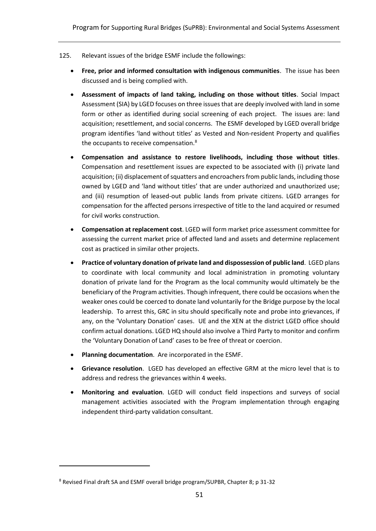- 125. Relevant issues of the bridge ESMF include the followings:
	- **Free, prior and informed consultation with indigenous communities**. The issue has been discussed and is being complied with.
	- **Assessment of impacts of land taking, including on those without titles**. Social Impact Assessment (SIA) by LGED focuses on three issues that are deeply involved with land in some form or other as identified during social screening of each project. The issues are: land acquisition; resettlement, and social concerns. The ESMF developed by LGED overall bridge program identifies 'land without titles' as Vested and Non-resident Property and qualifies the occupants to receive compensation.<sup>8</sup>
	- **Compensation and assistance to restore livelihoods, including those without titles**. Compensation and resettlement issues are expected to be associated with (i) private land acquisition; (ii) displacement of squatters and encroachers from public lands, including those owned by LGED and 'land without titles' that are under authorized and unauthorized use; and (iii) resumption of leased-out public lands from private citizens. LGED arranges for compensation for the affected persons irrespective of title to the land acquired or resumed for civil works construction.
	- **Compensation at replacement cost**. LGED will form market price assessment committee for assessing the current market price of affected land and assets and determine replacement cost as practiced in similar other projects.
	- **Practice of voluntary donation of private land and dispossession of public land**. LGED plans to coordinate with local community and local administration in promoting voluntary donation of private land for the Program as the local community would ultimately be the beneficiary of the Program activities. Though infrequent, there could be occasions when the weaker ones could be coerced to donate land voluntarily for the Bridge purpose by the local leadership. To arrest this, GRC in situ should specifically note and probe into grievances, if any, on the 'Voluntary Donation' cases. UE and the XEN at the district LGED office should confirm actual donations. LGED HQ should also involve a Third Party to monitor and confirm the 'Voluntary Donation of Land' cases to be free of threat or coercion.
	- **Planning documentation**. Are incorporated in the ESMF.
	- **Grievance resolution**. LGED has developed an effective GRM at the micro level that is to address and redress the grievances within 4 weeks.
	- **Monitoring and evaluation**. LGED will conduct field inspections and surveys of social management activities associated with the Program implementation through engaging independent third-party validation consultant.

 $\overline{a}$ 

<sup>8</sup> Revised Final draft SA and ESMF overall bridge program/SUPBR, Chapter 8; p 31-32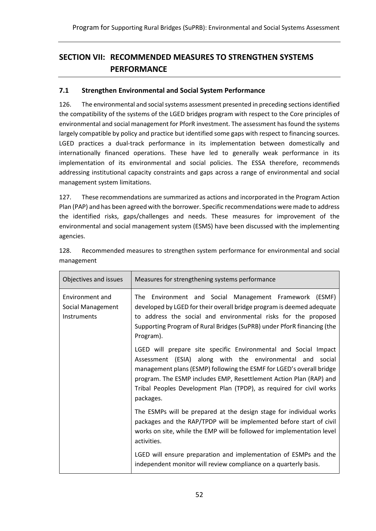# <span id="page-54-0"></span>**SECTION VII: RECOMMENDED MEASURES TO STRENGTHEN SYSTEMS PERFORMANCE**

# <span id="page-54-1"></span>**7.1 Strengthen Environmental and Social System Performance**

126. The environmental and social systems assessment presented in preceding sectionsidentified the compatibility of the systems of the LGED bridges program with respect to the Core principles of environmental and social management for PforR investment. The assessment has found the systems largely compatible by policy and practice but identified some gaps with respect to financing sources. LGED practices a dual-track performance in its implementation between domestically and internationally financed operations. These have led to generally weak performance in its implementation of its environmental and social policies. The ESSA therefore, recommends addressing institutional capacity constraints and gaps across a range of environmental and social management system limitations.

127. These recommendations are summarized as actions and incorporated in the Program Action Plan (PAP) and has been agreed with the borrower. Specific recommendations were made to address the identified risks, gaps/challenges and needs. These measures for improvement of the environmental and social management system (ESMS) have been discussed with the implementing agencies.

| Objectives and issues                               | Measures for strengthening systems performance                                                                                                                                                                                                                                                                                                                 |
|-----------------------------------------------------|----------------------------------------------------------------------------------------------------------------------------------------------------------------------------------------------------------------------------------------------------------------------------------------------------------------------------------------------------------------|
| Environment and<br>Social Management<br>Instruments | The Environment and Social Management Framework (ESMF)<br>developed by LGED for their overall bridge program is deemed adequate<br>to address the social and environmental risks for the proposed<br>Supporting Program of Rural Bridges (SuPRB) under PforR financing (the<br>Program).                                                                       |
|                                                     | LGED will prepare site specific Environmental and Social Impact<br>Assessment (ESIA) along with the environmental and social<br>management plans (ESMP) following the ESMF for LGED's overall bridge<br>program. The ESMP includes EMP, Resettlement Action Plan (RAP) and<br>Tribal Peoples Development Plan (TPDP), as required for civil works<br>packages. |
|                                                     | The ESMPs will be prepared at the design stage for individual works<br>packages and the RAP/TPDP will be implemented before start of civil<br>works on site, while the EMP will be followed for implementation level<br>activities.                                                                                                                            |
|                                                     | LGED will ensure preparation and implementation of ESMPs and the<br>independent monitor will review compliance on a quarterly basis.                                                                                                                                                                                                                           |

128. Recommended measures to strengthen system performance for environmental and social management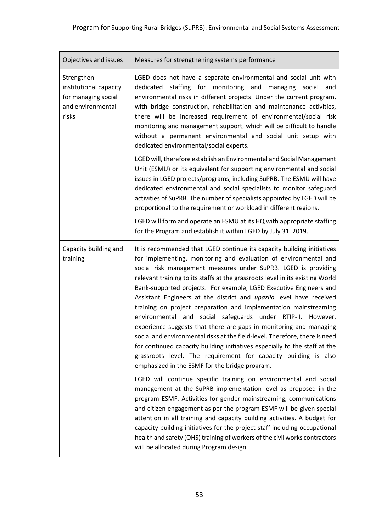| Objectives and issues                                                                     | Measures for strengthening systems performance                                                                                                                                                                                                                                                                                                                                                                                                                                                                                                                                                                                                                                                                                                                                                                                                                                                                                        |
|-------------------------------------------------------------------------------------------|---------------------------------------------------------------------------------------------------------------------------------------------------------------------------------------------------------------------------------------------------------------------------------------------------------------------------------------------------------------------------------------------------------------------------------------------------------------------------------------------------------------------------------------------------------------------------------------------------------------------------------------------------------------------------------------------------------------------------------------------------------------------------------------------------------------------------------------------------------------------------------------------------------------------------------------|
| Strengthen<br>institutional capacity<br>for managing social<br>and environmental<br>risks | LGED does not have a separate environmental and social unit with<br>staffing for monitoring and managing social and<br>dedicated<br>environmental risks in different projects. Under the current program,<br>with bridge construction, rehabilitation and maintenance activities,<br>there will be increased requirement of environmental/social risk<br>monitoring and management support, which will be difficult to handle<br>without a permanent environmental and social unit setup with<br>dedicated environmental/social experts.<br>LGED will, therefore establish an Environmental and Social Management<br>Unit (ESMU) or its equivalent for supporting environmental and social                                                                                                                                                                                                                                            |
|                                                                                           | issues in LGED projects/programs, including SuPRB. The ESMU will have<br>dedicated environmental and social specialists to monitor safeguard<br>activities of SuPRB. The number of specialists appointed by LGED will be<br>proportional to the requirement or workload in different regions.<br>LGED will form and operate an ESMU at its HQ with appropriate staffing                                                                                                                                                                                                                                                                                                                                                                                                                                                                                                                                                               |
|                                                                                           | for the Program and establish it within LGED by July 31, 2019.                                                                                                                                                                                                                                                                                                                                                                                                                                                                                                                                                                                                                                                                                                                                                                                                                                                                        |
| Capacity building and<br>training                                                         | It is recommended that LGED continue its capacity building initiatives<br>for implementing, monitoring and evaluation of environmental and<br>social risk management measures under SuPRB. LGED is providing<br>relevant training to its staffs at the grassroots level in its existing World<br>Bank-supported projects. For example, LGED Executive Engineers and<br>Assistant Engineers at the district and upazila level have received<br>training on project preparation and implementation mainstreaming<br>environmental and social safeguards under RTIP-II. However,<br>experience suggests that there are gaps in monitoring and managing<br>social and environmental risks at the field-level. Therefore, there is need<br>for continued capacity building initiatives especially to the staff at the<br>grassroots level. The requirement for capacity building is also<br>emphasized in the ESMF for the bridge program. |
|                                                                                           | LGED will continue specific training on environmental and social<br>management at the SuPRB implementation level as proposed in the<br>program ESMF. Activities for gender mainstreaming, communications<br>and citizen engagement as per the program ESMF will be given special<br>attention in all training and capacity building activities. A budget for<br>capacity building initiatives for the project staff including occupational<br>health and safety (OHS) training of workers of the civil works contractors<br>will be allocated during Program design.                                                                                                                                                                                                                                                                                                                                                                  |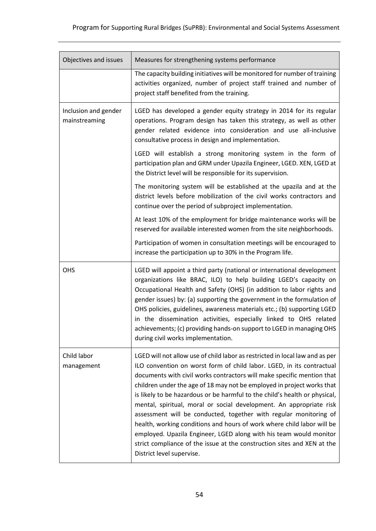| Objectives and issues                 | Measures for strengthening systems performance                                                                                                                                                                                                                                                                                                                                                                                                                                                                                                                                                                                                                                                                                                                                              |
|---------------------------------------|---------------------------------------------------------------------------------------------------------------------------------------------------------------------------------------------------------------------------------------------------------------------------------------------------------------------------------------------------------------------------------------------------------------------------------------------------------------------------------------------------------------------------------------------------------------------------------------------------------------------------------------------------------------------------------------------------------------------------------------------------------------------------------------------|
|                                       | The capacity building initiatives will be monitored for number of training<br>activities organized, number of project staff trained and number of<br>project staff benefited from the training.                                                                                                                                                                                                                                                                                                                                                                                                                                                                                                                                                                                             |
| Inclusion and gender<br>mainstreaming | LGED has developed a gender equity strategy in 2014 for its regular<br>operations. Program design has taken this strategy, as well as other<br>gender related evidence into consideration and use all-inclusive<br>consultative process in design and implementation.                                                                                                                                                                                                                                                                                                                                                                                                                                                                                                                       |
|                                       | LGED will establish a strong monitoring system in the form of<br>participation plan and GRM under Upazila Engineer, LGED. XEN, LGED at<br>the District level will be responsible for its supervision.                                                                                                                                                                                                                                                                                                                                                                                                                                                                                                                                                                                       |
|                                       | The monitoring system will be established at the upazila and at the<br>district levels before mobilization of the civil works contractors and<br>continue over the period of subproject implementation.                                                                                                                                                                                                                                                                                                                                                                                                                                                                                                                                                                                     |
|                                       | At least 10% of the employment for bridge maintenance works will be<br>reserved for available interested women from the site neighborhoods.                                                                                                                                                                                                                                                                                                                                                                                                                                                                                                                                                                                                                                                 |
|                                       | Participation of women in consultation meetings will be encouraged to<br>increase the participation up to 30% in the Program life.                                                                                                                                                                                                                                                                                                                                                                                                                                                                                                                                                                                                                                                          |
| OHS                                   | LGED will appoint a third party (national or international development<br>organizations like BRAC, ILO) to help building LGED's capacity on<br>Occupational Health and Safety (OHS) (in addition to labor rights and<br>gender issues) by: (a) supporting the government in the formulation of<br>OHS policies, guidelines, awareness materials etc.; (b) supporting LGED<br>in the dissemination activities, especially linked to OHS related<br>achievements; (c) providing hands-on support to LGED in managing OHS<br>during civil works implementation.                                                                                                                                                                                                                                |
| Child labor<br>management             | LGED will not allow use of child labor as restricted in local law and as per<br>ILO convention on worst form of child labor. LGED, in its contractual<br>documents with civil works contractors will make specific mention that<br>children under the age of 18 may not be employed in project works that<br>is likely to be hazardous or be harmful to the child's health or physical,<br>mental, spiritual, moral or social development. An appropriate risk<br>assessment will be conducted, together with regular monitoring of<br>health, working conditions and hours of work where child labor will be<br>employed. Upazila Engineer, LGED along with his team would monitor<br>strict compliance of the issue at the construction sites and XEN at the<br>District level supervise. |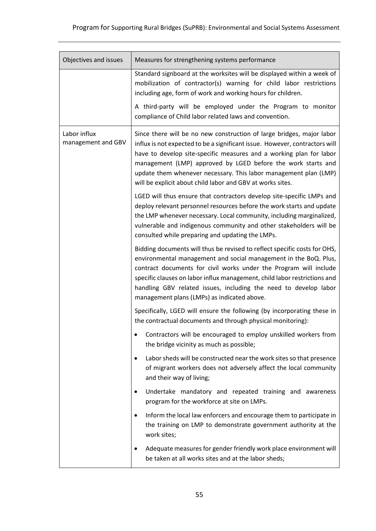| Objectives and issues              | Measures for strengthening systems performance                                                                                                                                                                                                                                                                                                                                                                                |  |
|------------------------------------|-------------------------------------------------------------------------------------------------------------------------------------------------------------------------------------------------------------------------------------------------------------------------------------------------------------------------------------------------------------------------------------------------------------------------------|--|
|                                    | Standard signboard at the worksites will be displayed within a week of<br>mobilization of contractor(s) warning for child labor restrictions<br>including age, form of work and working hours for children.                                                                                                                                                                                                                   |  |
|                                    | A third-party will be employed under the Program to monitor<br>compliance of Child labor related laws and convention.                                                                                                                                                                                                                                                                                                         |  |
| Labor influx<br>management and GBV | Since there will be no new construction of large bridges, major labor<br>influx is not expected to be a significant issue. However, contractors will<br>have to develop site-specific measures and a working plan for labor<br>management (LMP) approved by LGED before the work starts and<br>update them whenever necessary. This labor management plan (LMP)<br>will be explicit about child labor and GBV at works sites. |  |
|                                    | LGED will thus ensure that contractors develop site-specific LMPs and<br>deploy relevant personnel resources before the work starts and update<br>the LMP whenever necessary. Local community, including marginalized,<br>vulnerable and indigenous community and other stakeholders will be<br>consulted while preparing and updating the LMPs.                                                                              |  |
|                                    | Bidding documents will thus be revised to reflect specific costs for OHS,<br>environmental management and social management in the BoQ. Plus,<br>contract documents for civil works under the Program will include<br>specific clauses on labor influx management, child labor restrictions and<br>handling GBV related issues, including the need to develop labor<br>management plans (LMPs) as indicated above.            |  |
|                                    | Specifically, LGED will ensure the following (by incorporating these in<br>the contractual documents and through physical monitoring):                                                                                                                                                                                                                                                                                        |  |
|                                    | Contractors will be encouraged to employ unskilled workers from<br>the bridge vicinity as much as possible;                                                                                                                                                                                                                                                                                                                   |  |
|                                    | Labor sheds will be constructed near the work sites so that presence<br>$\bullet$<br>of migrant workers does not adversely affect the local community<br>and their way of living;                                                                                                                                                                                                                                             |  |
|                                    | Undertake mandatory and repeated training and awareness<br>$\bullet$<br>program for the workforce at site on LMPs.                                                                                                                                                                                                                                                                                                            |  |
|                                    | Inform the local law enforcers and encourage them to participate in<br>$\bullet$<br>the training on LMP to demonstrate government authority at the<br>work sites;                                                                                                                                                                                                                                                             |  |
|                                    | Adequate measures for gender friendly work place environment will<br>$\bullet$<br>be taken at all works sites and at the labor sheds;                                                                                                                                                                                                                                                                                         |  |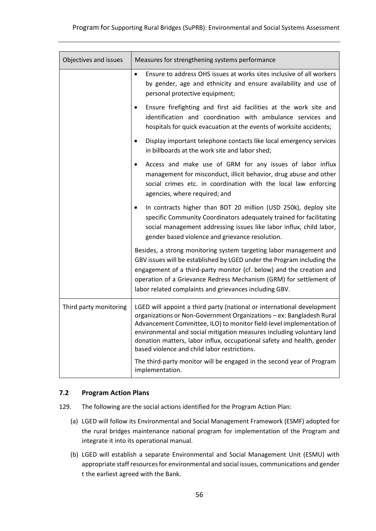| Objectives and issues  | Measures for strengthening systems performance                                                                                                                                                                                                                                                                                                                                                                            |  |
|------------------------|---------------------------------------------------------------------------------------------------------------------------------------------------------------------------------------------------------------------------------------------------------------------------------------------------------------------------------------------------------------------------------------------------------------------------|--|
|                        | Ensure to address OHS issues at works sites inclusive of all workers<br>$\bullet$<br>by gender, age and ethnicity and ensure availability and use of<br>personal protective equipment;                                                                                                                                                                                                                                    |  |
|                        | Ensure firefighting and first aid facilities at the work site and<br>identification and coordination with ambulance services and<br>hospitals for quick evacuation at the events of worksite accidents;                                                                                                                                                                                                                   |  |
|                        | Display important telephone contacts like local emergency services<br>$\bullet$<br>in billboards at the work site and labor shed;                                                                                                                                                                                                                                                                                         |  |
|                        | Access and make use of GRM for any issues of labor influx<br>management for misconduct, illicit behavior, drug abuse and other<br>social crimes etc. in coordination with the local law enforcing<br>agencies, where required; and                                                                                                                                                                                        |  |
|                        | In contracts higher than BDT 20 million (USD 250k), deploy site<br>$\bullet$<br>specific Community Coordinators adequately trained for facilitating<br>social management addressing issues like labor influx, child labor,<br>gender based violence and grievance resolution.                                                                                                                                             |  |
|                        | Besides, a strong monitoring system targeting labor management and<br>GBV issues will be established by LGED under the Program including the<br>engagement of a third-party monitor (cf. below) and the creation and<br>operation of a Grievance Redress Mechanism (GRM) for settlement of<br>labor related complaints and grievances including GBV.                                                                      |  |
| Third party monitoring | LGED will appoint a third party (national or international development<br>organizations or Non-Government Organizations - ex: Bangladesh Rural<br>Advancement Committee, ILO) to monitor field-level implementation of<br>environmental and social mitigation measures including voluntary land<br>donation matters, labor influx, occupational safety and health, gender<br>based violence and child labor restrictions. |  |
|                        | The third-party monitor will be engaged in the second year of Program<br>implementation.                                                                                                                                                                                                                                                                                                                                  |  |

#### <span id="page-58-0"></span>**7.2 Program Action Plans**

- 129. The following are the social actions identified for the Program Action Plan:
	- (a) LGED will follow its Environmental and Social Management Framework (ESMF) adopted for the rural bridges maintenance national program for implementation of the Program and integrate it into its operational manual.
	- (b) LGED will establish a separate Environmental and Social Management Unit (ESMU) with appropriate staff resources for environmental and social issues, communications and gender t the earliest agreed with the Bank.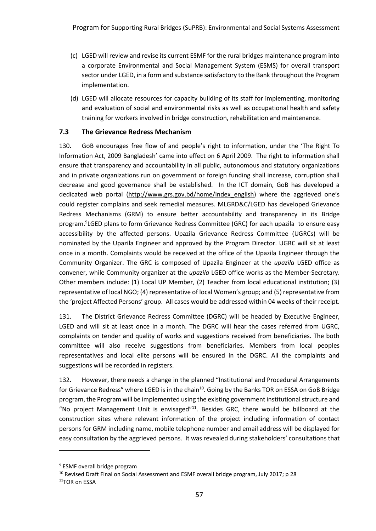- (c) LGED will review and revise its current ESMF for the rural bridges maintenance program into a corporate Environmental and Social Management System (ESMS) for overall transport sector under LGED, in a form and substance satisfactory to the Bank throughout the Program implementation.
- (d) LGED will allocate resources for capacity building of its staff for implementing, monitoring and evaluation of social and environmental risks as well as occupational health and safety training for workers involved in bridge construction, rehabilitation and maintenance.

#### <span id="page-59-0"></span>**7.3 The Grievance Redress Mechanism**

130. GoB encourages free flow of and people's right to information, under the 'The Right To Information Act, 2009 Bangladesh' came into effect on 6 April 2009. The right to information shall ensure that transparency and accountability in all public, autonomous and statutory organizations and in private organizations run on government or foreign funding shall increase, corruption shall decrease and good governance shall be established. In the ICT domain, GoB has developed a dedicated web portal [\(http://www.grs.gov.bd/home/index\\_english](http://www.grs.gov.bd/home/index_english)) where the aggrieved one's could register complains and seek remedial measures. MLGRD&C/LGED has developed Grievance Redress Mechanisms (GRM) to ensure better accountability and transparency in its Bridge program. 9 LGED plans to form Grievance Redress Committee (GRC) for each upazila to ensure easy accessibility by the affected persons. Upazila Grievance Redress Committee (UGRCs) will be nominated by the Upazila Engineer and approved by the Program Director. UGRC will sit at least once in a month. Complaints would be received at the office of the Upazila Engineer through the Community Organizer. The GRC is composed of Upazila Engineer at the *upazila* LGED office as convener, while Community organizer at the *upazila* LGED office works as the Member-Secretary. Other members include: (1) Local UP Member, (2) Teacher from local educational institution; (3) representative of local NGO; (4) representative of local Women's group; and (5) representative from the 'project Affected Persons' group. All cases would be addressed within 04 weeks of their receipt.

131. The District Grievance Redress Committee (DGRC) will be headed by Executive Engineer, LGED and will sit at least once in a month. The DGRC will hear the cases referred from UGRC, complaints on tender and quality of works and suggestions received from beneficiaries. The both committee will also receive suggestions from beneficiaries. Members from local peoples representatives and local elite persons will be ensured in the DGRC. All the complaints and suggestions will be recorded in registers.

132. However, there needs a change in the planned "Institutional and Procedural Arrangements for Grievance Redress" where LGED is in the chain<sup>10</sup>. Going by the Banks TOR on ESSA on GoB Bridge program, the Program will be implemented using the existing government institutional structure and "No project Management Unit is envisaged"<sup>11</sup>. Besides GRC, there would be billboard at the construction sites where relevant information of the project including information of contact persons for GRM including name, mobile telephone number and email address will be displayed for easy consultation by the aggrieved persons. It was revealed during stakeholders' consultations that

 $\overline{a}$ 

<sup>9</sup> ESMF overall bridge program

<sup>&</sup>lt;sup>10</sup> Revised Draft Final on Social Assessment and ESMF overall bridge program, July 2017; p 28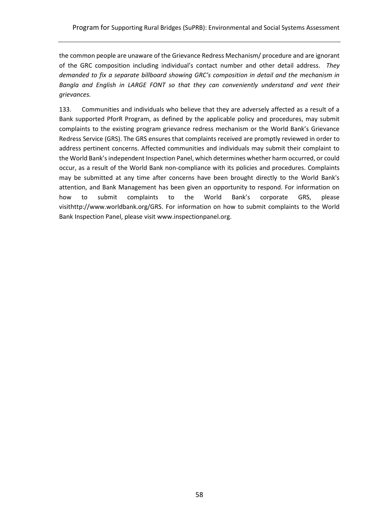the common people are unaware of the Grievance Redress Mechanism/ procedure and are ignorant of the GRC composition including individual's contact number and other detail address. *They demanded to fix a separate billboard showing GRC's composition in detail and the mechanism in Bangla and English in LARGE FONT so that they can conveniently understand and vent their grievances.*

133. Communities and individuals who believe that they are adversely affected as a result of a Bank supported PforR Program, as defined by the applicable policy and procedures, may submit complaints to the existing program grievance redress mechanism or the World Bank's Grievance Redress Service (GRS). The GRS ensures that complaints received are promptly reviewed in order to address pertinent concerns. Affected communities and individuals may submit their complaint to the World Bank's independent Inspection Panel, which determines whether harm occurred, or could occur, as a result of the World Bank non-compliance with its policies and procedures. Complaints may be submitted at any time after concerns have been brought directly to the World Bank's attention, and Bank Management has been given an opportunity to respond. For information on how to submit complaints to the World Bank's corporate GRS, please visi[thttp://www.worldbank.org/GRS.](http://www.worldbank.org/GRM) For information on how to submit complaints to the World Bank Inspection Panel, please visit [www.inspectionpanel.org.](http://www.inspectionpanel.org/)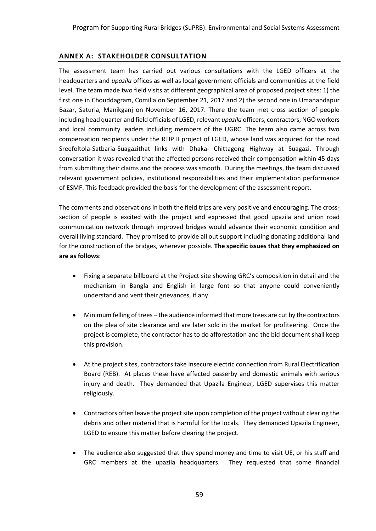#### <span id="page-61-0"></span>**ANNEX A: STAKEHOLDER CONSULTATION**

The assessment team has carried out various consultations with the LGED officers at the headquarters and *upazila* offices as well as local government officials and communities at the field level. The team made two field visits at different geographical area of proposed project sites: 1) the first one in Chouddagram, Comilla on September 21, 2017 and 2) the second one in Umanandapur Bazar, Saturia, Manikganj on November 16, 2017. There the team met cross section of people including head quarter and field officials of LGED, relevant *upazila* officers, contractors, NGO workers and local community leaders including members of the UGRC. The team also came across two compensation recipients under the RTIP II project of LGED, whose land was acquired for the road Sreefoltola-Satbaria-Suagazithat links with Dhaka- Chittagong Highway at Suagazi. Through conversation it was revealed that the affected persons received their compensation within 45 days from submitting their claims and the process was smooth. During the meetings, the team discussed relevant government policies, institutional responsibilities and their implementation performance of ESMF. This feedback provided the basis for the development of the assessment report.

The comments and observations in both the field trips are very positive and encouraging. The crosssection of people is excited with the project and expressed that good upazila and union road communication network through improved bridges would advance their economic condition and overall living standard. They promised to provide all out support including donating additional land for the construction of the bridges, wherever possible. **The specific issues that they emphasized on are as follows**:

- Fixing a separate billboard at the Project site showing GRC's composition in detail and the mechanism in Bangla and English in large font so that anyone could conveniently understand and vent their grievances, if any.
- Minimum felling of trees the audience informed that more trees are cut by the contractors on the plea of site clearance and are later sold in the market for profiteering. Once the project is complete, the contractor has to do afforestation and the bid document shall keep this provision.
- At the project sites, contractors take insecure electric connection from Rural Electrification Board (REB). At places these have affected passerby and domestic animals with serious injury and death. They demanded that Upazila Engineer, LGED supervises this matter religiously.
- Contractors often leave the project site upon completion of the project without clearing the debris and other material that is harmful for the locals. They demanded Upazila Engineer, LGED to ensure this matter before clearing the project.
- The audience also suggested that they spend money and time to visit UE, or his staff and GRC members at the upazila headquarters. They requested that some financial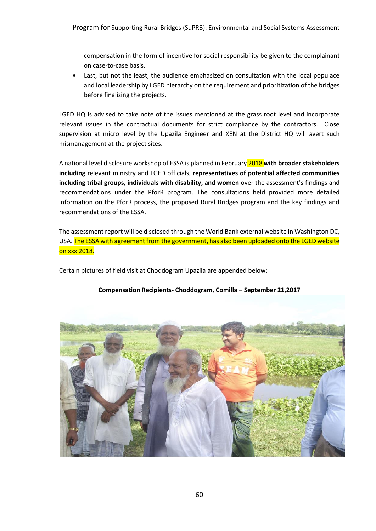compensation in the form of incentive for social responsibility be given to the complainant on case-to-case basis.

Last, but not the least, the audience emphasized on consultation with the local populace and local leadership by LGED hierarchy on the requirement and prioritization of the bridges before finalizing the projects.

LGED HQ is advised to take note of the issues mentioned at the grass root level and incorporate relevant issues in the contractual documents for strict compliance by the contractors. Close supervision at micro level by the Upazila Engineer and XEN at the District HQ will avert such mismanagement at the project sites.

A national level disclosure workshop of ESSA is planned in February 2018 **with broader stakeholders including** relevant ministry and LGED officials, **representatives of potential affected communities including tribal groups, individuals with disability, and women** over the assessment's findings and recommendations under the PforR program. The consultations held provided more detailed information on the PforR process, the proposed Rural Bridges program and the key findings and recommendations of the ESSA.

The assessment report will be disclosed through the World Bank external website in Washington DC, USA. The ESSA with agreement from the government, has also been uploaded onto the LGED website on xxx 2018.

Certain pictures of field visit at Choddogram Upazila are appended below:



#### **Compensation Recipients- Choddogram, Comilla – September 21,2017**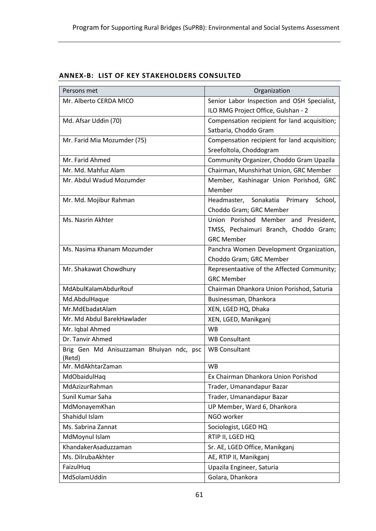<span id="page-63-0"></span>

| <b>ANNEX-B: LIST OF KEY STAKEHOLDERS CONSULTED</b> |  |  |  |  |
|----------------------------------------------------|--|--|--|--|
|----------------------------------------------------|--|--|--|--|

| Persons met                                        | Organization                                 |
|----------------------------------------------------|----------------------------------------------|
| Mr. Alberto CERDA MICO                             | Senior Labor Inspection and OSH Specialist,  |
|                                                    | ILO RMG Project Office, Gulshan - 2          |
| Md. Afsar Uddin (70)                               | Compensation recipient for land acquisition; |
|                                                    | Satbaria, Choddo Gram                        |
| Mr. Farid Mia Mozumder (75)                        | Compensation recipient for land acquisition; |
|                                                    | Sreefoltola, Choddogram                      |
| Mr. Farid Ahmed                                    | Community Organizer, Choddo Gram Upazila     |
| Mr. Md. Mahfuz Alam                                | Chairman, Munshirhat Union, GRC Member       |
| Mr. Abdul Wadud Mozumder                           | Member, Kashinagar Union Porishod, GRC       |
|                                                    | Member                                       |
| Mr. Md. Mojibur Rahman                             | Headmaster, Sonakatia<br>Primary<br>School,  |
|                                                    | Choddo Gram; GRC Member                      |
| Ms. Nasrin Akhter                                  | Union Porishod Member and President,         |
|                                                    | TMSS, Pechaimuri Branch, Choddo Gram;        |
|                                                    | <b>GRC Member</b>                            |
| Ms. Nasima Khanam Mozumder                         | Panchra Women Development Organization,      |
|                                                    | Choddo Gram; GRC Member                      |
| Mr. Shakawat Chowdhury                             | Representaative of the Affected Community;   |
|                                                    | <b>GRC Member</b>                            |
| MdAbulKalamAbdurRouf                               | Chairman Dhankora Union Porishod, Saturia    |
| Md.AbdulHaque                                      | Businessman, Dhankora                        |
| Mr.MdEbadatAlam                                    | XEN, LGED HQ, Dhaka                          |
| Mr. Md Abdul BarekHawlader                         | XEN, LGED, Manikganj                         |
| Mr. Iqbal Ahmed                                    | <b>WB</b>                                    |
| Dr. Tanvir Ahmed                                   | <b>WB Consultant</b>                         |
| Brig Gen Md Anisuzzaman Bhuiyan ndc, psc<br>(Retd) | <b>WB Consultant</b>                         |
| Mr. MdAkhtarZaman                                  | <b>WB</b>                                    |
| MdObaidulHaq                                       | Ex Chairman Dhankora Union Porishod          |
| MdAzizurRahman                                     | Trader, Umanandapur Bazar                    |
| Sunil Kumar Saha                                   | Trader, Umanandapur Bazar                    |
| MdMonayemKhan                                      | UP Member, Ward 6, Dhankora                  |
| Shahidul Islam                                     | NGO worker                                   |
| Ms. Sabrina Zannat                                 | Sociologist, LGED HQ                         |
| MdMoynul Islam                                     | RTIP II, LGED HQ                             |
| KhandakerAsaduzzaman                               | Sr. AE, LGED Office, Manikganj               |
| Ms. DilrubaAkhter                                  | AE, RTIP II, Manikganj                       |
| FaizulHuq                                          | Upazila Engineer, Saturia                    |
| MdSolamUddin                                       | Golara, Dhankora                             |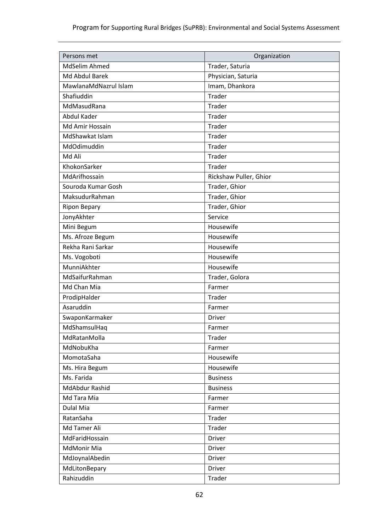| Persons met           | Organization           |
|-----------------------|------------------------|
| MdSelim Ahmed         | Trader, Saturia        |
| Md Abdul Barek        | Physician, Saturia     |
| MawlanaMdNazrul Islam | Imam, Dhankora         |
| Shafiuddin            | <b>Trader</b>          |
| MdMasudRana           | Trader                 |
| Abdul Kader           | Trader                 |
| Md Amir Hossain       | Trader                 |
| MdShawkat Islam       | Trader                 |
| MdOdimuddin           | <b>Trader</b>          |
| Md Ali                | Trader                 |
| KhokonSarker          | Trader                 |
| MdArifhossain         | Rickshaw Puller, Ghior |
| Souroda Kumar Gosh    | Trader, Ghior          |
| MaksudurRahman        | Trader, Ghior          |
| <b>Ripon Bepary</b>   | Trader, Ghior          |
| JonyAkhter            | Service                |
| Mini Begum            | Housewife              |
| Ms. Afroze Begum      | Housewife              |
| Rekha Rani Sarkar     | Housewife              |
| Ms. Vogoboti          | Housewife              |
| MunniAkhter           | Housewife              |
| MdSaifurRahman        | Trader, Golora         |
| Md Chan Mia           | Farmer                 |
| ProdipHalder          | Trader                 |
| Asaruddin             | Farmer                 |
| SwaponKarmaker        | Driver                 |
| MdShamsulHaq          | Farmer                 |
| MdRatanMolla          | Trader                 |
| MdNobuKha             | Farmer                 |
| MomotaSaha            | Housewife              |
| Ms. Hira Begum        | Housewife              |
| Ms. Farida            | <b>Business</b>        |
| MdAbdur Rashid        | <b>Business</b>        |
| Md Tara Mia           | Farmer                 |
| <b>Dulal Mia</b>      | Farmer                 |
| RatanSaha             | Trader                 |
| Md Tamer Ali          | Trader                 |
| MdFaridHossain        | Driver                 |
| MdMonir Mia           | Driver                 |
| MdJoynalAbedin        | <b>Driver</b>          |
| MdLitonBepary         | Driver                 |
| Rahizuddin            | Trader                 |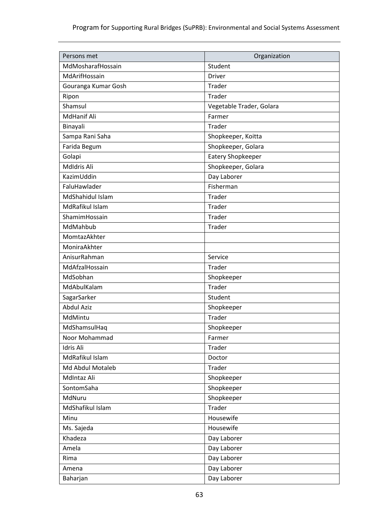| Persons met         | Organization             |
|---------------------|--------------------------|
| MdMosharafHossain   | Student                  |
| MdArifHossain       | <b>Driver</b>            |
| Gouranga Kumar Gosh | Trader                   |
| Ripon               | Trader                   |
| Shamsul             | Vegetable Trader, Golara |
| <b>MdHanif Ali</b>  | Farmer                   |
| Binayali            | Trader                   |
| Sampa Rani Saha     | Shopkeeper, Koitta       |
| Farida Begum        | Shopkeeper, Golara       |
| Golapi              | Eatery Shopkeeper        |
| Mdldris Ali         | Shopkeeper, Golara       |
| KazimUddin          | Day Laborer              |
| FaluHawlader        | Fisherman                |
| MdShahidul Islam    | Trader                   |
| MdRafikul Islam     | Trader                   |
| ShamimHossain       | Trader                   |
| MdMahbub            | Trader                   |
| MomtazAkhter        |                          |
| MoniraAkhter        |                          |
| AnisurRahman        | Service                  |
| MdAfzalHossain      | Trader                   |
| MdSobhan            | Shopkeeper               |
| MdAbulKalam         | Trader                   |
| SagarSarker         | Student                  |
| <b>Abdul Aziz</b>   | Shopkeeper               |
| MdMintu             | Trader                   |
| MdShamsulHaq        | Shopkeeper               |
| Noor Mohammad       | Farmer                   |
| Idris Ali           | Trader                   |
| MdRafikul Islam     | Doctor                   |
| Md Abdul Motaleb    | Trader                   |
| MdIntaz Ali         | Shopkeeper               |
| SontomSaha          | Shopkeeper               |
| MdNuru              | Shopkeeper               |
| MdShafikul Islam    | Trader                   |
| Minu                | Housewife                |
| Ms. Sajeda          | Housewife                |
| Khadeza             | Day Laborer              |
| Amela               | Day Laborer              |
| Rima                | Day Laborer              |
| Amena               | Day Laborer              |
| Baharjan            | Day Laborer              |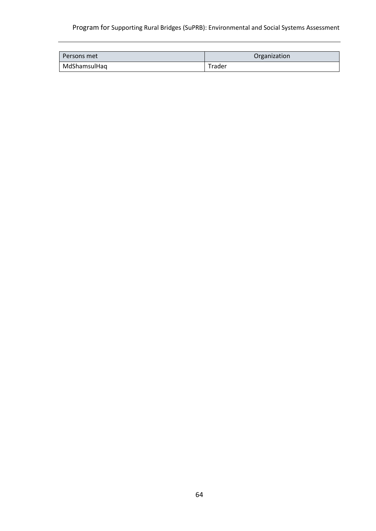# Program for Supporting Rural Bridges (SuPRB): Environmental and Social Systems Assessment

| l Persons met | Organization |
|---------------|--------------|
| MdShamsulHaq  | Trader       |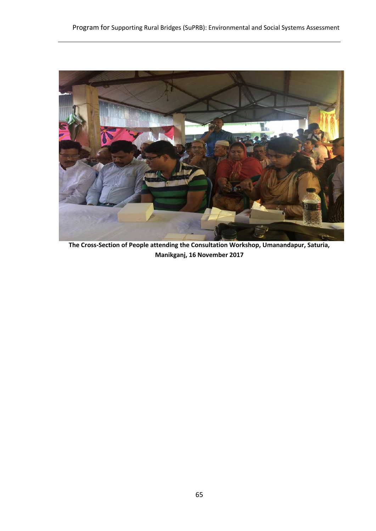

**The Cross-Section of People attending the Consultation Workshop, Umanandapur, Saturia, Manikganj, 16 November 2017**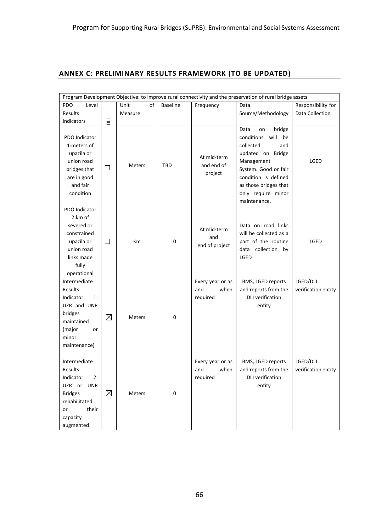# <span id="page-68-0"></span>**ANNEX C: PRELIMINARY RESULTS FRAMEWORK (TO BE UPDATED)**

| Program Development Objective: to improve rural connectivity and the preservation of rural bridge assets                            |             |               |                 |                                             |                                                                                                                                                                                                                        |                                 |
|-------------------------------------------------------------------------------------------------------------------------------------|-------------|---------------|-----------------|---------------------------------------------|------------------------------------------------------------------------------------------------------------------------------------------------------------------------------------------------------------------------|---------------------------------|
| PDO<br>Level                                                                                                                        |             | Unit<br>οf    | <b>Baseline</b> | Frequency                                   | Data                                                                                                                                                                                                                   | Responsibility for              |
| Results                                                                                                                             |             | Measure       |                 |                                             | Source/Methodology                                                                                                                                                                                                     | Data Collection                 |
| Indicators                                                                                                                          | 궁           |               |                 |                                             |                                                                                                                                                                                                                        |                                 |
| PDO Indicator<br>1:meters of<br>upazila or<br>union road<br>bridges that<br>are in good<br>and fair<br>condition                    | $\Box$      | Meters        | TBD             | At mid-term<br>and end of<br>project        | bridge<br>Data<br>on<br>conditions<br>will<br>be<br>collected<br>and<br>updated on Bridge<br>Management<br>System. Good or fair<br>condition is defined<br>as those bridges that<br>only require minor<br>maintenance. | LGED                            |
| PDO Indicator<br>2:km of<br>severed or<br>constrained<br>upazila or<br>union road<br>links made<br>fully<br>operational             | $\Box$      | Km            | $\mathbf 0$     | At mid-term<br>and<br>end of project        | Data on road links<br>will be collected as a<br>part of the routine<br>data collection by<br>LGED                                                                                                                      | LGED                            |
| Intermediate<br>Results<br>Indicator<br>1:<br>UZR and UNR<br>bridges<br>maintained<br>(major<br>or<br>minor<br>maintenance)         | $\boxtimes$ | Meters        | $\mathbf 0$     | Every year or as<br>and<br>when<br>required | BMS, LGED reports<br>and reports from the<br><b>DLI</b> verification<br>entity                                                                                                                                         | LGED/DLI<br>verification entity |
| Intermediate<br>Results<br>Indicator<br>2:<br>UZR or UNR<br><b>Bridges</b><br>rehabilitated<br>their<br>or<br>capacity<br>augmented | ⊠           | <b>Meters</b> | $\mathbf 0$     | Every year or as<br>when<br>and<br>required | BMS, LGED reports<br>and reports from the<br><b>DLI</b> verification<br>entity                                                                                                                                         | LGED/DLI<br>verification entity |